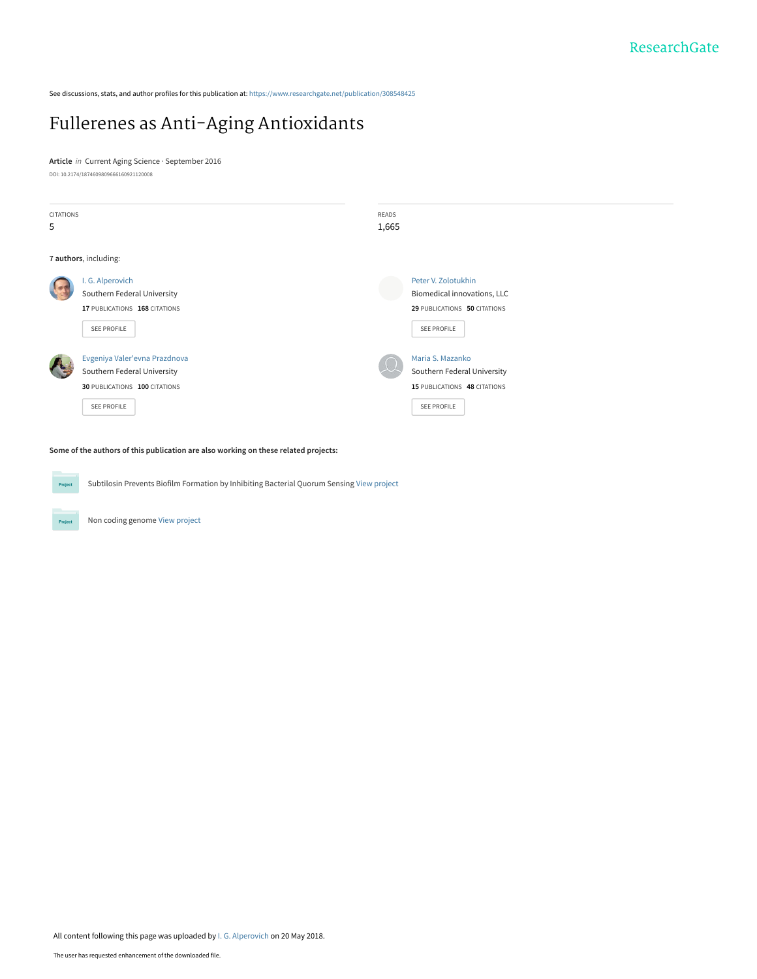See discussions, stats, and author profiles for this publication at: https://www.researchgate.net/publication/308548425

# Fullerenes as Anti-Aging Antioxidants

**Article** in Current Aging Science · September 2016 DOI: 10.2174/1874609809666160921120008



**Some of the authors of this publication are also working on these related projects:**

Subtilosin Prevents Biofilm Formation by Inhibiting Bacterial Quorum Sensing View project Project

Non coding genome View project

**Project**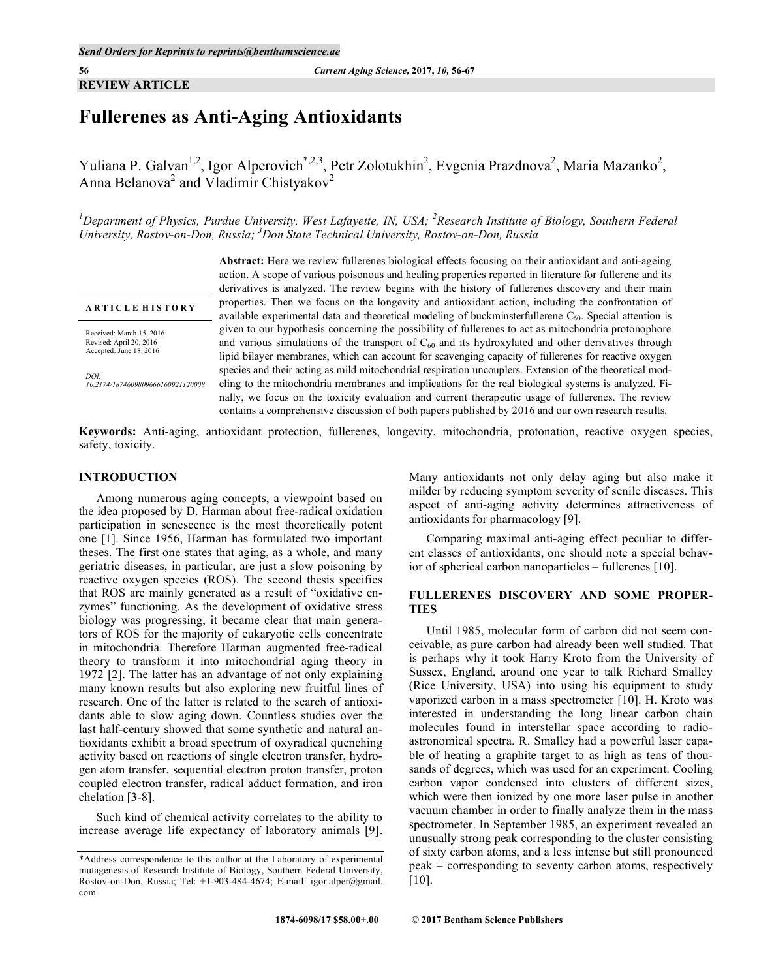**REVIEW ARTICLE**

## **Fullerenes as Anti-Aging Antioxidants**

Yuliana P. Galvan<sup>1,2</sup>, Igor Alperovich<sup>\*,2,3</sup>, Petr Zolotukhin<sup>2</sup>, Evgenia Prazdnova<sup>2</sup>, Maria Mazanko<sup>2</sup>, Anna Belanova<sup>2</sup> and Vladimir Chistyakov<sup>2</sup>

<sup>1</sup>Department of Physics, Purdue University, West Lafayette, IN, USA; <sup>2</sup>Research Institute of Biology, Southern Federal *University, Rostov-on-Don, Russia; 3 Don State Technical University, Rostov-on-Don, Russia*

#### **A R T I C L E H I S T O R Y**

Received: March 15, 2016 Revised: April 20, 2016 Accepted: June 18, 2016

*DOI: 10.2174/1874609809666160921120008* **Abstract:** Here we review fullerenes biological effects focusing on their antioxidant and anti-ageing action. A scope of various poisonous and healing properties reported in literature for fullerene and its derivatives is analyzed. The review begins with the history of fullerenes discovery and their main properties. Then we focus on the longevity and antioxidant action, including the confrontation of available experimental data and theoretical modeling of buckminsterfullerene  $C_{60}$ . Special attention is given to our hypothesis concerning the possibility of fullerenes to act as mitochondria protonophore and various simulations of the transport of  $C_{60}$  and its hydroxylated and other derivatives through lipid bilayer membranes, which can account for scavenging capacity of fullerenes for reactive oxygen species and their acting as mild mitochondrial respiration uncouplers. Extension of the theoretical modeling to the mitochondria membranes and implications for the real biological systems is analyzed. Finally, we focus on the toxicity evaluation and current therapeutic usage of fullerenes. The review contains a comprehensive discussion of both papers published by 2016 and our own research results.

**Keywords:** Anti-aging, antioxidant protection, fullerenes, longevity, mitochondria, protonation, reactive oxygen species, safety, toxicity.

#### **INTRODUCTION**

Among numerous aging concepts, a viewpoint based on the idea proposed by D. Harman about free-radical oxidation participation in senescence is the most theoretically potent one [1]. Since 1956, Harman has formulated two important theses. The first one states that aging, as a whole, and many geriatric diseases, in particular, are just a slow poisoning by reactive oxygen species (ROS). The second thesis specifies that ROS are mainly generated as a result of "oxidative enzymes" functioning. As the development of oxidative stress biology was progressing, it became clear that main generators of ROS for the majority of eukaryotic cells concentrate in mitochondria. Therefore Harman augmented free-radical theory to transform it into mitochondrial aging theory in 1972 [2]. The latter has an advantage of not only explaining many known results but also exploring new fruitful lines of research. One of the latter is related to the search of antioxidants able to slow aging down. Countless studies over the last half-century showed that some synthetic and natural antioxidants exhibit a broad spectrum of oxyradical quenching activity based on reactions of single electron transfer, hydrogen atom transfer, sequential electron proton transfer, proton coupled electron transfer, radical adduct formation, and iron chelation [3-8].

Such kind of chemical activity correlates to the ability to increase average life expectancy of laboratory animals [9]. Many antioxidants not only delay aging but also make it milder by reducing symptom severity of senile diseases. This aspect of anti-aging activity determines attractiveness of antioxidants for pharmacology [9].

Comparing maximal anti-aging effect peculiar to different classes of antioxidants, one should note a special behavior of spherical carbon nanoparticles – fullerenes [10].

### **FULLERENES DISCOVERY AND SOME PROPER-TIES**

Until 1985, molecular form of carbon did not seem conceivable, as pure carbon had already been well studied. That is perhaps why it took Harry Kroto from the University of Sussex, England, around one year to talk Richard Smalley (Rice University, USA) into using his equipment to study vaporized carbon in a mass spectrometer [10]. H. Kroto was interested in understanding the long linear carbon chain molecules found in interstellar space according to radioastronomical spectra. R. Smalley had a powerful laser capable of heating a graphite target to as high as tens of thousands of degrees, which was used for an experiment. Cooling carbon vapor condensed into clusters of different sizes, which were then ionized by one more laser pulse in another vacuum chamber in order to finally analyze them in the mass spectrometer. In September 1985, an experiment revealed an unusually strong peak corresponding to the cluster consisting of sixty carbon atoms, and a less intense but still pronounced peak – corresponding to seventy carbon atoms, respectively [10].

<sup>\*</sup>Address correspondence to this author at the Laboratory of experimental mutagenesis of Research Institute of Biology, Southern Federal University, Rostov-on-Don, Russia; Tel: +1-903-484-4674; E-mail: igor.alper@gmail. com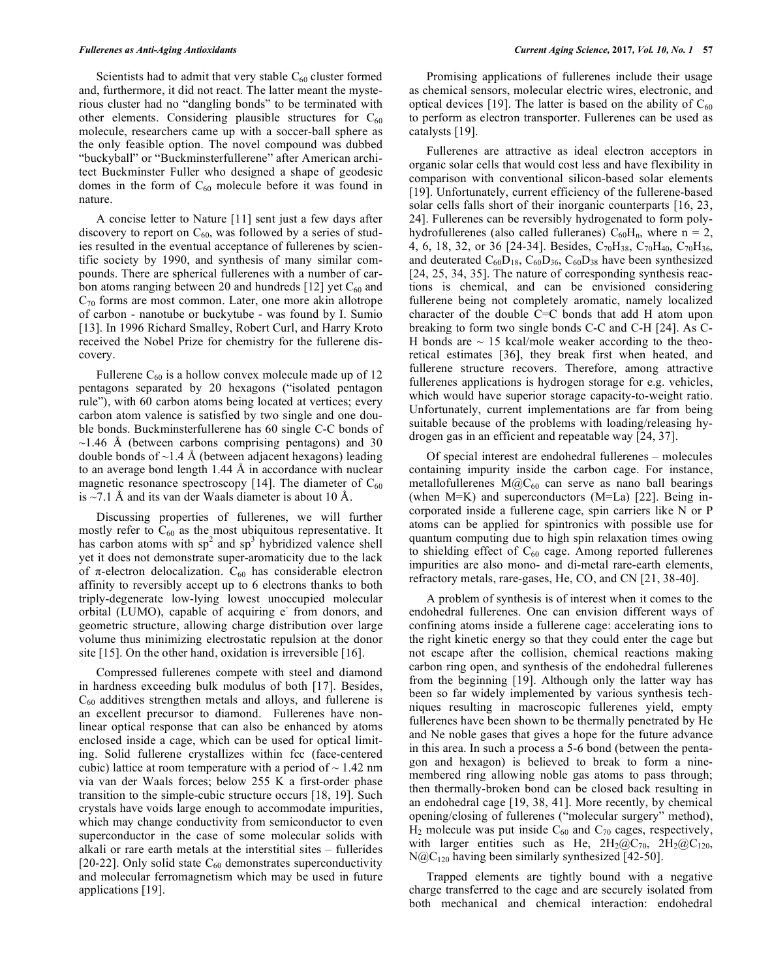Scientists had to admit that very stable  $C_{60}$  cluster formed and, furthermore, it did not react. The latter meant the mysterious cluster had no "dangling bonds" to be terminated with other elements. Considering plausible structures for  $C_{60}$ molecule, researchers came up with a soccer-ball sphere as the only feasible option. The novel compound was dubbed "buckyball" or "Buckminsterfullerene" after American architect Buckminster Fuller who designed a shape of geodesic domes in the form of  $C_{60}$  molecule before it was found in nature.

A concise letter to Nature [11] sent just a few days after discovery to report on  $C_{60}$ , was followed by a series of studies resulted in the eventual acceptance of fullerenes by scientific society by 1990, and synthesis of many similar compounds. There are spherical fullerenes with a number of carbon atoms ranging between 20 and hundreds [12] yet  $C_{60}$  and  $C_{70}$  forms are most common. Later, one more akin allotrope of carbon - nanotube or buckytube - was found by I. Sumio [13]. In 1996 Richard Smalley, Robert Curl, and Harry Kroto received the Nobel Prize for chemistry for the fullerene discovery.

Fullerene  $C_{60}$  is a hollow convex molecule made up of 12 pentagons separated by 20 hexagons ("isolated pentagon rule"), with 60 carbon atoms being located at vertices; every carbon atom valence is satisfied by two single and one double bonds. Buckminsterfullerene has 60 single C-C bonds of  $\sim$ 1.46 Å (between carbons comprising pentagons) and 30 double bonds of  $\sim$ 1.4 Å (between adjacent hexagons) leading to an average bond length 1.44 Å in accordance with nuclear magnetic resonance spectroscopy [14]. The diameter of  $C_{60}$ is  $\sim$ 7.1 Å and its van der Waals diameter is about 10 Å.

Discussing properties of fullerenes, we will further mostly refer to  $C_{60}$  as the most ubiquitous representative. It has carbon atoms with  $sp^2$  and  $sp^3$  hybridized valence shell yet it does not demonstrate super-aromaticity due to the lack of π-electron delocalization.  $C_{60}$  has considerable electron affinity to reversibly accept up to 6 electrons thanks to both triply-degenerate low-lying lowest unoccupied molecular orbital (LUMO), capable of acquiring e<sup>-</sup> from donors, and geometric structure, allowing charge distribution over large volume thus minimizing electrostatic repulsion at the donor site [15]. On the other hand, oxidation is irreversible [16].

Compressed fullerenes compete with steel and diamond in hardness exceeding bulk modulus of both [17]. Besides,  $C_{60}$  additives strengthen metals and alloys, and fullerene is an excellent precursor to diamond. Fullerenes have nonlinear optical response that can also be enhanced by atoms enclosed inside a cage, which can be used for optical limiting. Solid fullerene crystallizes within fcc (face-centered cubic) lattice at room temperature with a period of  $\sim$  1.42 nm via van der Waals forces; below 255 K a first-order phase transition to the simple-cubic structure occurs [18, 19]. Such crystals have voids large enough to accommodate impurities, which may change conductivity from semiconductor to even superconductor in the case of some molecular solids with alkali or rare earth metals at the interstitial sites – fullerides [20-22]. Only solid state  $C_{60}$  demonstrates superconductivity and molecular ferromagnetism which may be used in future applications [19].

Promising applications of fullerenes include their usage as chemical sensors, molecular electric wires, electronic, and optical devices [19]. The latter is based on the ability of  $C_{60}$ to perform as electron transporter. Fullerenes can be used as catalysts [19].

Fullerenes are attractive as ideal electron acceptors in organic solar cells that would cost less and have flexibility in comparison with conventional silicon-based solar elements [19]. Unfortunately, current efficiency of the fullerene-based solar cells falls short of their inorganic counterparts [16, 23, 24]. Fullerenes can be reversibly hydrogenated to form polyhydrofullerenes (also called fulleranes)  $C_{60}H_n$ , where n = 2, 4, 6, 18, 32, or 36 [24-34]. Besides, C<sub>70</sub>H<sub>38</sub>, C<sub>70</sub>H<sub>40</sub>, C<sub>70</sub>H<sub>36</sub>, and deuterated  $C_{60}D_{18}$ ,  $C_{60}D_{36}$ ,  $C_{60}D_{38}$  have been synthesized [24, 25, 34, 35]. The nature of corresponding synthesis reactions is chemical, and can be envisioned considering fullerene being not completely aromatic, namely localized character of the double C=C bonds that add H atom upon breaking to form two single bonds C-C and C-H [24]. As C-H bonds are  $\sim$  15 kcal/mole weaker according to the theoretical estimates [36], they break first when heated, and fullerene structure recovers. Therefore, among attractive fullerenes applications is hydrogen storage for e.g. vehicles, which would have superior storage capacity-to-weight ratio. Unfortunately, current implementations are far from being suitable because of the problems with loading/releasing hydrogen gas in an efficient and repeatable way [24, 37].

Of special interest are endohedral fullerenes – molecules containing impurity inside the carbon cage. For instance, metallofullerenes  $M(\partial C_{60}$  can serve as nano ball bearings (when M=K) and superconductors (M=La) [22]. Being incorporated inside a fullerene cage, spin carriers like N or P atoms can be applied for spintronics with possible use for quantum computing due to high spin relaxation times owing to shielding effect of  $C_{60}$  cage. Among reported fullerenes impurities are also mono- and di-metal rare-earth elements, refractory metals, rare-gases, He, CO, and CN [21, 38-40].

A problem of synthesis is of interest when it comes to the endohedral fullerenes. One can envision different ways of confining atoms inside a fullerene cage: accelerating ions to the right kinetic energy so that they could enter the cage but not escape after the collision, chemical reactions making carbon ring open, and synthesis of the endohedral fullerenes from the beginning [19]. Although only the latter way has been so far widely implemented by various synthesis techniques resulting in macroscopic fullerenes yield, empty fullerenes have been shown to be thermally penetrated by He and Ne noble gases that gives a hope for the future advance in this area. In such a process a 5-6 bond (between the pentagon and hexagon) is believed to break to form a ninemembered ring allowing noble gas atoms to pass through; then thermally-broken bond can be closed back resulting in an endohedral cage [19, 38, 41]. More recently, by chemical opening/closing of fullerenes ("molecular surgery" method),  $H_2$  molecule was put inside  $C_{60}$  and  $C_{70}$  cages, respectively, with larger entities such as He,  $2H_2@C_{70}$ ,  $2H_2@C_{120}$ ,  $N@C_{120}$  having been similarly synthesized [42-50].

Trapped elements are tightly bound with a negative charge transferred to the cage and are securely isolated from both mechanical and chemical interaction: endohedral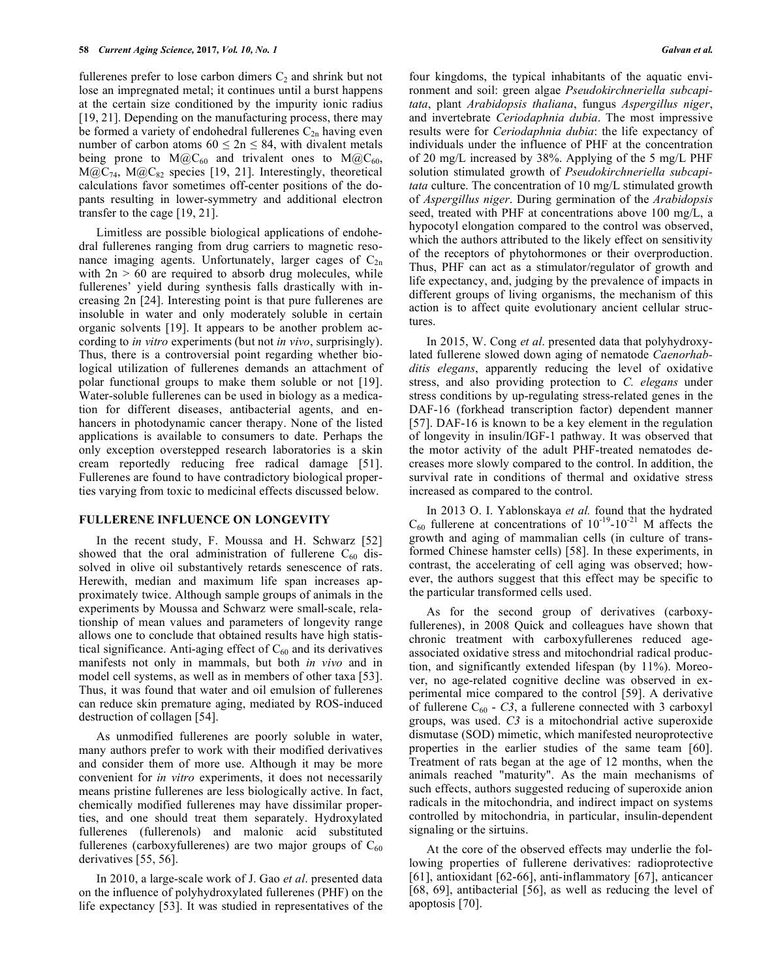fullerenes prefer to lose carbon dimers  $C_2$  and shrink but not lose an impregnated metal; it continues until a burst happens at the certain size conditioned by the impurity ionic radius [19, 21]. Depending on the manufacturing process, there may be formed a variety of endohedral fullerenes  $C_{2n}$  having even number of carbon atoms  $60 \le 2n \le 84$ , with divalent metals being prone to  $M(\partial C_{60}$  and trivalent ones to  $M(\partial C_{60}$ ,  $M@C_{74}$ ,  $M@C_{82}$  species [19, 21]. Interestingly, theoretical calculations favor sometimes off-center positions of the dopants resulting in lower-symmetry and additional electron transfer to the cage [19, 21].

Limitless are possible biological applications of endohedral fullerenes ranging from drug carriers to magnetic resonance imaging agents. Unfortunately, larger cages of  $C_{2n}$ with  $2n > 60$  are required to absorb drug molecules, while fullerenes' yield during synthesis falls drastically with increasing 2n [24]. Interesting point is that pure fullerenes are insoluble in water and only moderately soluble in certain organic solvents [19]. It appears to be another problem according to *in vitro* experiments (but not *in vivo*, surprisingly). Thus, there is a controversial point regarding whether biological utilization of fullerenes demands an attachment of polar functional groups to make them soluble or not [19]. Water-soluble fullerenes can be used in biology as a medication for different diseases, antibacterial agents, and enhancers in photodynamic cancer therapy. None of the listed applications is available to consumers to date. Perhaps the only exception overstepped research laboratories is a skin cream reportedly reducing free radical damage [51]. Fullerenes are found to have contradictory biological properties varying from toxic to medicinal effects discussed below.

#### **FULLERENE INFLUENCE ON LONGEVITY**

In the recent study, F. Moussa and H. Schwarz [52] showed that the oral administration of fullerene  $C_{60}$  dissolved in olive oil substantively retards senescence of rats. Herewith, median and maximum life span increases approximately twice. Although sample groups of animals in the experiments by Moussa and Schwarz were small-scale, relationship of mean values and parameters of longevity range allows one to conclude that obtained results have high statistical significance. Anti-aging effect of  $C_{60}$  and its derivatives manifests not only in mammals, but both *in vivo* and in model cell systems, as well as in members of other taxa [53]. Thus, it was found that water and oil emulsion of fullerenes can reduce skin premature aging, mediated by ROS-induced destruction of collagen [54].

As unmodified fullerenes are poorly soluble in water, many authors prefer to work with their modified derivatives and consider them of more use. Although it may be more convenient for *in vitro* experiments, it does not necessarily means pristine fullerenes are less biologically active. In fact, chemically modified fullerenes may have dissimilar properties, and one should treat them separately. Hydroxylated fullerenes (fullerenols) and malonic acid substituted fullerenes (carboxyfullerenes) are two major groups of  $C_{60}$ derivatives [55, 56].

In 2010, a large-scale work of J. Gao *et al*. presented data on the influence of polyhydroxylated fullerenes (PHF) on the life expectancy [53]. It was studied in representatives of the four kingdoms, the typical inhabitants of the aquatic environment and soil: green algae *Pseudokirchneriella subcapitata*, plant *Arabidopsis thaliana*, fungus *Aspergillus niger*, and invertebrate *Ceriodaphnia dubia*. The most impressive results were for *Ceriodaphnia dubia*: the life expectancy of individuals under the influence of PHF at the concentration of 20 mg/L increased by 38%. Applying of the 5 mg/L PHF solution stimulated growth of *Pseudokirchneriella subcapitata* culture. The concentration of 10 mg/L stimulated growth of *Aspergillus niger*. During germination of the *Arabidopsis* seed, treated with PHF at concentrations above 100 mg/L, a hypocotyl elongation compared to the control was observed, which the authors attributed to the likely effect on sensitivity of the receptors of phytohormones or their overproduction. Thus, PHF can act as a stimulator/regulator of growth and life expectancy, and, judging by the prevalence of impacts in different groups of living organisms, the mechanism of this action is to affect quite evolutionary ancient cellular structures.

In 2015, W. Cong *et al*. presented data that polyhydroxylated fullerene slowed down aging of nematode *Caenorhabditis elegans*, apparently reducing the level of oxidative stress, and also providing protection to *C. elegans* under stress conditions by up-regulating stress-related genes in the DAF-16 (forkhead transcription factor) dependent manner [57]. DAF-16 is known to be a key element in the regulation of longevity in insulin/IGF-1 pathway. It was observed that the motor activity of the adult PHF-treated nematodes decreases more slowly compared to the control. In addition, the survival rate in conditions of thermal and oxidative stress increased as compared to the control.

In 2013 O. I. Yablonskaya *et al.* found that the hydrated  $C_{60}$  fullerene at concentrations of  $10^{-19}$ - $10^{-21}$  M affects the growth and aging of mammalian cells (in culture of transformed Chinese hamster cells) [58]. In these experiments, in contrast, the accelerating of cell aging was observed; however, the authors suggest that this effect may be specific to the particular transformed cells used.

As for the second group of derivatives (carboxyfullerenes), in 2008 Quick and colleagues have shown that chronic treatment with carboxyfullerenes reduced ageassociated oxidative stress and mitochondrial radical production, and significantly extended lifespan (by 11%). Moreover, no age-related cognitive decline was observed in experimental mice compared to the control [59]. A derivative of fullerene  $C_{60}$  - *C3*, a fullerene connected with 3 carboxyl groups, was used. *C3* is a mitochondrial active superoxide dismutase (SOD) mimetic, which manifested neuroprotective properties in the earlier studies of the same team [60]. Treatment of rats began at the age of 12 months, when the animals reached "maturity". As the main mechanisms of such effects, authors suggested reducing of superoxide anion radicals in the mitochondria, and indirect impact on systems controlled by mitochondria, in particular, insulin-dependent signaling or the sirtuins.

At the core of the observed effects may underlie the following properties of fullerene derivatives: radioprotective [61], antioxidant [62-66], anti-inflammatory [67], anticancer [68, 69], antibacterial [56], as well as reducing the level of apoptosis [70].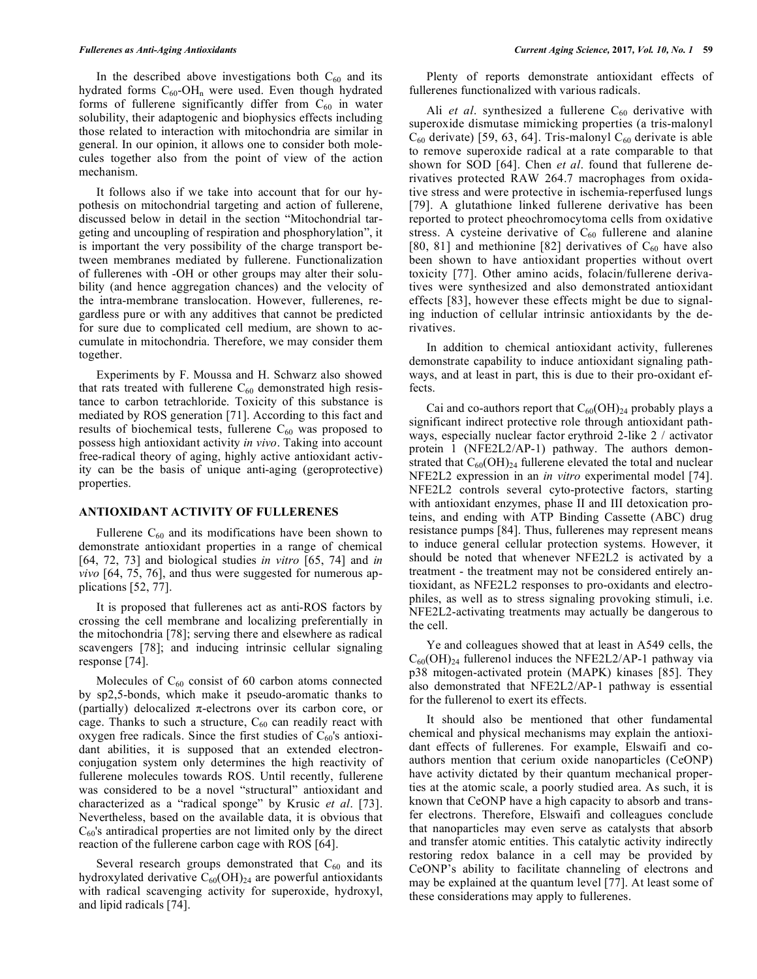In the described above investigations both  $C_{60}$  and its hydrated forms  $C_{60}$ -OH<sub>n</sub> were used. Even though hydrated forms of fullerene significantly differ from  $C_{60}$  in water solubility, their adaptogenic and biophysics effects including those related to interaction with mitochondria are similar in general. In our opinion, it allows one to consider both molecules together also from the point of view of the action mechanism.

It follows also if we take into account that for our hypothesis on mitochondrial targeting and action of fullerene, discussed below in detail in the section "Mitochondrial targeting and uncoupling of respiration and phosphorylation", it is important the very possibility of the charge transport between membranes mediated by fullerene. Functionalization of fullerenes with -OH or other groups may alter their solubility (and hence aggregation chances) and the velocity of the intra-membrane translocation. However, fullerenes, regardless pure or with any additives that cannot be predicted for sure due to complicated cell medium, are shown to accumulate in mitochondria. Therefore, we may consider them together.

Experiments by F. Moussa and H. Schwarz also showed that rats treated with fullerene  $C_{60}$  demonstrated high resistance to carbon tetrachloride. Toxicity of this substance is mediated by ROS generation [71]. According to this fact and results of biochemical tests, fullerene  $C_{60}$  was proposed to possess high antioxidant activity *in vivo*. Taking into account free-radical theory of aging, highly active antioxidant activity can be the basis of unique anti-aging (geroprotective) properties.

#### **ANTIOXIDANT ACTIVITY OF FULLERENES**

Fullerene  $C_{60}$  and its modifications have been shown to demonstrate antioxidant properties in a range of chemical [64, 72, 73] and biological studies *in vitro* [65, 74] and *in vivo* [64, 75, 76], and thus were suggested for numerous applications [52, 77].

It is proposed that fullerenes act as anti-ROS factors by crossing the cell membrane and localizing preferentially in the mitochondria [78]; serving there and elsewhere as radical scavengers [78]; and inducing intrinsic cellular signaling response [74].

Molecules of  $C_{60}$  consist of 60 carbon atoms connected by sp2,5-bonds, which make it pseudo-aromatic thanks to (partially) delocalized  $\pi$ -electrons over its carbon core, or cage. Thanks to such a structure,  $C_{60}$  can readily react with oxygen free radicals. Since the first studies of  $C_{60}$ 's antioxidant abilities, it is supposed that an extended electronconjugation system only determines the high reactivity of fullerene molecules towards ROS. Until recently, fullerene was considered to be a novel "structural" antioxidant and characterized as a "radical sponge" by Krusic *et al*. [73]. Nevertheless, based on the available data, it is obvious that  $C_{60}$ 's antiradical properties are not limited only by the direct reaction of the fullerene carbon cage with ROS [64].

Several research groups demonstrated that  $C_{60}$  and its hydroxylated derivative  $C_{60}$ (OH)<sub>24</sub> are powerful antioxidants with radical scavenging activity for superoxide, hydroxyl, and lipid radicals [74].

Plenty of reports demonstrate antioxidant effects of fullerenes functionalized with various radicals.

Ali et al. synthesized a fullerene C<sub>60</sub> derivative with superoxide dismutase mimicking properties (a tris-malonyl  $C_{60}$  derivate) [59, 63, 64]. Tris-malonyl  $C_{60}$  derivate is able to remove superoxide radical at a rate comparable to that shown for SOD [64]. Chen *et al*. found that fullerene derivatives protected RAW 264.7 macrophages from oxidative stress and were protective in ischemia-reperfused lungs [79]. A glutathione linked fullerene derivative has been reported to protect pheochromocytoma cells from oxidative stress. A cysteine derivative of  $C_{60}$  fullerene and alanine [80, 81] and methionine [82] derivatives of  $C_{60}$  have also been shown to have antioxidant properties without overt toxicity [77]. Other amino acids, folacin/fullerene derivatives were synthesized and also demonstrated antioxidant effects [83], however these effects might be due to signaling induction of cellular intrinsic antioxidants by the derivatives.

In addition to chemical antioxidant activity, fullerenes demonstrate capability to induce antioxidant signaling pathways, and at least in part, this is due to their pro-oxidant effects.

Cai and co-authors report that  $C_{60}(OH)_{24}$  probably plays a significant indirect protective role through antioxidant pathways, especially nuclear factor erythroid 2-like 2 / activator protein 1 (NFE2L2/AP-1) pathway. The authors demonstrated that  $C_{60}(OH)_{24}$  fullerene elevated the total and nuclear NFE2L2 expression in an *in vitro* experimental model [74]. NFE2L2 controls several cyto-protective factors, starting with antioxidant enzymes, phase II and III detoxication proteins, and ending with ATP Binding Cassette (ABC) drug resistance pumps [84]. Thus, fullerenes may represent means to induce general cellular protection systems. However, it should be noted that whenever NFE2L2 is activated by a treatment - the treatment may not be considered entirely antioxidant, as NFE2L2 responses to pro-oxidants and electrophiles, as well as to stress signaling provoking stimuli, i.e. NFE2L2-activating treatments may actually be dangerous to the cell.

Ye and colleagues showed that at least in A549 cells, the  $C_{60}(OH)_{24}$  fullerenol induces the NFE2L2/AP-1 pathway via p38 mitogen-activated protein (MAPK) kinases [85]. They also demonstrated that NFE2L2/AP-1 pathway is essential for the fullerenol to exert its effects.

It should also be mentioned that other fundamental chemical and physical mechanisms may explain the antioxidant effects of fullerenes. For example, Elswaifi and coauthors mention that cerium oxide nanoparticles (CeONP) have activity dictated by their quantum mechanical properties at the atomic scale, a poorly studied area. As such, it is known that CeONP have a high capacity to absorb and transfer electrons. Therefore, Elswaifi and colleagues conclude that nanoparticles may even serve as catalysts that absorb and transfer atomic entities. This catalytic activity indirectly restoring redox balance in a cell may be provided by CeONP's ability to facilitate channeling of electrons and may be explained at the quantum level [77]. At least some of these considerations may apply to fullerenes.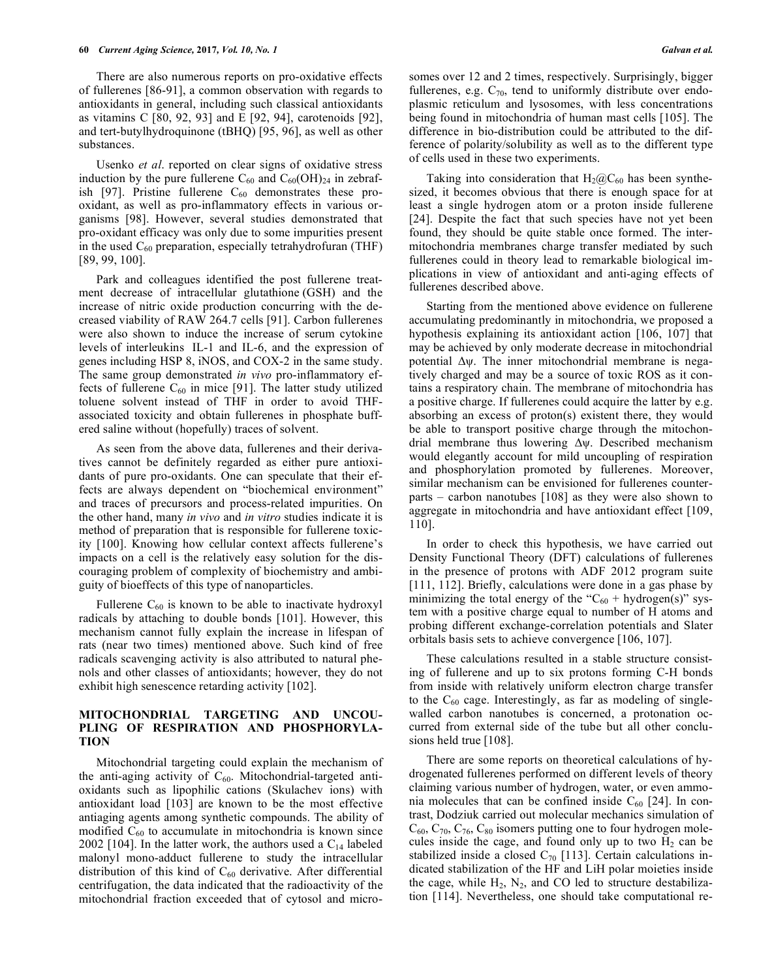There are also numerous reports on pro-oxidative effects of fullerenes [86-91], a common observation with regards to antioxidants in general, including such classical antioxidants as vitamins C [80, 92, 93] and E [92, 94], carotenoids [92], and tert-butylhydroquinone (tBHQ) [95, 96], as well as other substances.

Usenko *et al*. reported on clear signs of oxidative stress induction by the pure fullerene  $C_{60}$  and  $C_{60}$ (OH)<sub>24</sub> in zebrafish [97]. Pristine fullerene  $C_{60}$  demonstrates these prooxidant, as well as pro-inflammatory effects in various organisms [98]. However, several studies demonstrated that pro-oxidant efficacy was only due to some impurities present in the used  $C_{60}$  preparation, especially tetrahydrofuran (THF) [89, 99, 100].

Park and colleagues identified the post fullerene treatment decrease of intracellular glutathione (GSH) and the increase of nitric oxide production concurring with the decreased viability of RAW 264.7 cells [91]. Carbon fullerenes were also shown to induce the increase of serum cytokine levels of interleukins IL-1 and IL-6, and the expression of genes including HSP 8, iNOS, and COX-2 in the same study. The same group demonstrated *in vivo* pro-inflammatory effects of fullerene  $C_{60}$  in mice [91]. The latter study utilized toluene solvent instead of THF in order to avoid THFassociated toxicity and obtain fullerenes in phosphate buffered saline without (hopefully) traces of solvent.

As seen from the above data, fullerenes and their derivatives cannot be definitely regarded as either pure antioxidants of pure pro-oxidants. One can speculate that their effects are always dependent on "biochemical environment" and traces of precursors and process-related impurities. On the other hand, many *in vivo* and *in vitro* studies indicate it is method of preparation that is responsible for fullerene toxicity [100]. Knowing how cellular context affects fullerene's impacts on a cell is the relatively easy solution for the discouraging problem of complexity of biochemistry and ambiguity of bioeffects of this type of nanoparticles.

Fullerene  $C_{60}$  is known to be able to inactivate hydroxyl radicals by attaching to double bonds [101]. However, this mechanism cannot fully explain the increase in lifespan of rats (near two times) mentioned above. Such kind of free radicals scavenging activity is also attributed to natural phenols and other classes of antioxidants; however, they do not exhibit high senescence retarding activity [102].

#### **MITOCHONDRIAL TARGETING AND UNCOU-PLING OF RESPIRATION AND PHOSPHORYLA-TION**

Mitochondrial targeting could explain the mechanism of the anti-aging activity of  $C_{60}$ . Mitochondrial-targeted antioxidants such as lipophilic cations (Skulachev ions) with antioxidant load [103] are known to be the most effective antiaging agents among synthetic compounds. The ability of modified  $C_{60}$  to accumulate in mitochondria is known since 2002 [104]. In the latter work, the authors used a  $C_{14}$  labeled malonyl mono-adduct fullerene to study the intracellular distribution of this kind of  $C_{60}$  derivative. After differential centrifugation, the data indicated that the radioactivity of the mitochondrial fraction exceeded that of cytosol and microsomes over 12 and 2 times, respectively. Surprisingly, bigger fullerenes, e.g.  $C_{70}$ , tend to uniformly distribute over endoplasmic reticulum and lysosomes, with less concentrations being found in mitochondria of human mast cells [105]. The difference in bio-distribution could be attributed to the difference of polarity/solubility as well as to the different type of cells used in these two experiments.

Taking into consideration that  $H_2(\widehat{a}_0)C_{60}$  has been synthesized, it becomes obvious that there is enough space for at least a single hydrogen atom or a proton inside fullerene [24]. Despite the fact that such species have not yet been found, they should be quite stable once formed. The intermitochondria membranes charge transfer mediated by such fullerenes could in theory lead to remarkable biological implications in view of antioxidant and anti-aging effects of fullerenes described above.

Starting from the mentioned above evidence on fullerene accumulating predominantly in mitochondria, we proposed a hypothesis explaining its antioxidant action [106, 107] that may be achieved by only moderate decrease in mitochondrial potential Δψ. The inner mitochondrial membrane is negatively charged and may be a source of toxic ROS as it contains a respiratory chain. The membrane of mitochondria has a positive charge. If fullerenes could acquire the latter by e.g. absorbing an excess of proton(s) existent there, they would be able to transport positive charge through the mitochondrial membrane thus lowering Δψ. Described mechanism would elegantly account for mild uncoupling of respiration and phosphorylation promoted by fullerenes. Moreover, similar mechanism can be envisioned for fullerenes counterparts – carbon nanotubes [108] as they were also shown to aggregate in mitochondria and have antioxidant effect [109, 110].

In order to check this hypothesis, we have carried out Density Functional Theory (DFT) calculations of fullerenes in the presence of protons with ADF 2012 program suite [111, 112]. Briefly, calculations were done in a gas phase by minimizing the total energy of the " $C_{60}$  + hydrogen(s)" system with a positive charge equal to number of H atoms and probing different exchange-correlation potentials and Slater orbitals basis sets to achieve convergence [106, 107].

These calculations resulted in a stable structure consisting of fullerene and up to six protons forming C-H bonds from inside with relatively uniform electron charge transfer to the  $C_{60}$  cage. Interestingly, as far as modeling of singlewalled carbon nanotubes is concerned, a protonation occurred from external side of the tube but all other conclusions held true [108].

There are some reports on theoretical calculations of hydrogenated fullerenes performed on different levels of theory claiming various number of hydrogen, water, or even ammonia molecules that can be confined inside  $C_{60}$  [24]. In contrast, Dodziuk carried out molecular mechanics simulation of  $C_{60}$ ,  $C_{70}$ ,  $C_{76}$ ,  $C_{80}$  isomers putting one to four hydrogen molecules inside the cage, and found only up to two  $H_2$  can be stabilized inside a closed  $C_{70}$  [113]. Certain calculations indicated stabilization of the HF and LiH polar moieties inside the cage, while  $H_2$ ,  $N_2$ , and CO led to structure destabilization [114]. Nevertheless, one should take computational re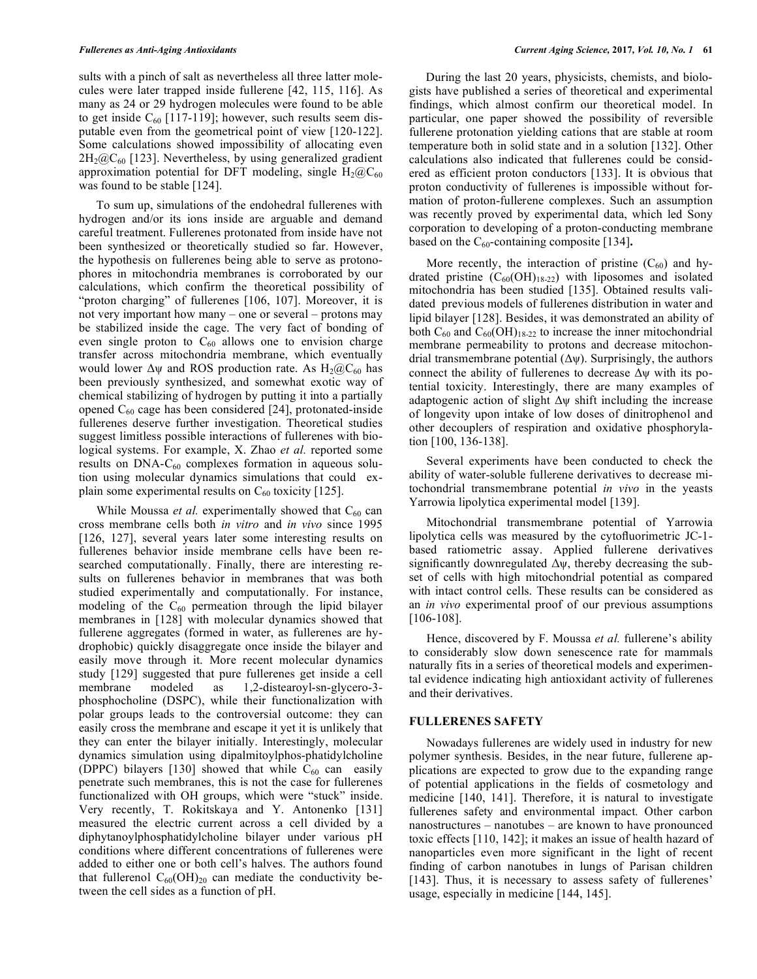sults with a pinch of salt as nevertheless all three latter molecules were later trapped inside fullerene [42, 115, 116]. As many as 24 or 29 hydrogen molecules were found to be able to get inside  $C_{60}$  [117-119]; however, such results seem disputable even from the geometrical point of view [120-122]. Some calculations showed impossibility of allocating even  $2H_2@C_{60}$  [123]. Nevertheless, by using generalized gradient approximation potential for DFT modeling, single  $H_2(\hat{a})C_{60}$ was found to be stable [124].

To sum up, simulations of the endohedral fullerenes with hydrogen and/or its ions inside are arguable and demand careful treatment. Fullerenes protonated from inside have not been synthesized or theoretically studied so far. However, the hypothesis on fullerenes being able to serve as protonophores in mitochondria membranes is corroborated by our calculations, which confirm the theoretical possibility of "proton charging" of fullerenes [106, 107]. Moreover, it is not very important how many – one or several – protons may be stabilized inside the cage. The very fact of bonding of even single proton to  $C_{60}$  allows one to envision charge transfer across mitochondria membrane, which eventually would lower  $\Delta \psi$  and ROS production rate. As  $H_2(\omega)C_{60}$  has been previously synthesized, and somewhat exotic way of chemical stabilizing of hydrogen by putting it into a partially opened  $C_{60}$  cage has been considered [24], protonated-inside fullerenes deserve further investigation. Theoretical studies suggest limitless possible interactions of fullerenes with biological systems. For example, X. Zhao *et al.* reported some results on  $DNA-C_{60}$  complexes formation in aqueous solution using molecular dynamics simulations that could explain some experimental results on  $C_{60}$  toxicity [125].

While Moussa *et al.* experimentally showed that  $C_{60}$  can cross membrane cells both *in vitro* and *in vivo* since 1995 [126, 127], several years later some interesting results on fullerenes behavior inside membrane cells have been researched computationally. Finally, there are interesting results on fullerenes behavior in membranes that was both studied experimentally and computationally. For instance, modeling of the  $C_{60}$  permeation through the lipid bilayer membranes in [128] with molecular dynamics showed that fullerene aggregates (formed in water, as fullerenes are hydrophobic) quickly disaggregate once inside the bilayer and easily move through it. More recent molecular dynamics study [129] suggested that pure fullerenes get inside a cell membrane modeled as 1,2-distearoyl-sn-glycero-3 phosphocholine (DSPC), while their functionalization with polar groups leads to the controversial outcome: they can easily cross the membrane and escape it yet it is unlikely that they can enter the bilayer initially. Interestingly, molecular dynamics simulation using dipalmitoylphos-phatidylcholine (DPPC) bilayers [130] showed that while  $C_{60}$  can easily penetrate such membranes, this is not the case for fullerenes functionalized with OH groups, which were "stuck" inside. Very recently, T. Rokitskaya and Y. Antonenko [131] measured the electric current across a cell divided by a diphytanoylphosphatidylcholine bilayer under various pH conditions where different concentrations of fullerenes were added to either one or both cell's halves. The authors found that fullerenol  $C_{60}(\text{OH})_{20}$  can mediate the conductivity between the cell sides as a function of pH.

During the last 20 years, physicists, chemists, and biologists have published a series of theoretical and experimental findings, which almost confirm our theoretical model. In particular, one paper showed the possibility of reversible fullerene protonation yielding cations that are stable at room temperature both in solid state and in a solution [132]. Other calculations also indicated that fullerenes could be considered as efficient proton conductors [133]. It is obvious that proton conductivity of fullerenes is impossible without formation of proton-fullerene complexes. Such an assumption was recently proved by experimental data, which led Sony corporation to developing of a proton-conducting membrane based on the  $C_{60}$ -containing composite [134].

More recently, the interaction of pristine  $(C_{60})$  and hydrated pristine  $(C_{60}(OH)_{18-22})$  with liposomes and isolated mitochondria has been studied [135]. Obtained results validated previous models of fullerenes distribution in water and lipid bilayer [128]. Besides, it was demonstrated an ability of both  $C_{60}$  and  $C_{60}$ (OH)<sub>18-22</sub> to increase the inner mitochondrial membrane permeability to protons and decrease mitochondrial transmembrane potential  $(\Delta \psi)$ . Surprisingly, the authors connect the ability of fullerenes to decrease  $\Delta \psi$  with its potential toxicity. Interestingly, there are many examples of adaptogenic action of slight  $\Delta \psi$  shift including the increase of longevity upon intake of low doses of dinitrophenol and other decouplers of respiration and oxidative phosphorylation [100, 136-138].

Several experiments have been conducted to check the ability of water-soluble fullerene derivatives to decrease mitochondrial transmembrane potential *in vivo* in the yeasts Yarrowia lipolytica experimental model [139].

Mitochondrial transmembrane potential of Yarrowia lipolytica cells was measured by the cytofluorimetric JC-1 based ratiometric assay. Applied fullerene derivatives significantly downregulated  $\Delta \psi$ , thereby decreasing the subset of cells with high mitochondrial potential as compared with intact control cells. These results can be considered as an *in vivo* experimental proof of our previous assumptions [106-108].

Hence, discovered by F. Moussa *et al.* fullerene's ability to considerably slow down senescence rate for mammals naturally fits in a series of theoretical models and experimental evidence indicating high antioxidant activity of fullerenes and their derivatives.

#### **FULLERENES SAFETY**

Nowadays fullerenes are widely used in industry for new polymer synthesis. Besides, in the near future, fullerene applications are expected to grow due to the expanding range of potential applications in the fields of cosmetology and medicine [140, 141]. Therefore, it is natural to investigate fullerenes safety and environmental impact. Other carbon nanostructures – nanotubes – are known to have pronounced toxic effects [110, 142]; it makes an issue of health hazard of nanoparticles even more significant in the light of recent finding of carbon nanotubes in lungs of Parisan children [143]. Thus, it is necessary to assess safety of fullerenes' usage, especially in medicine [144, 145].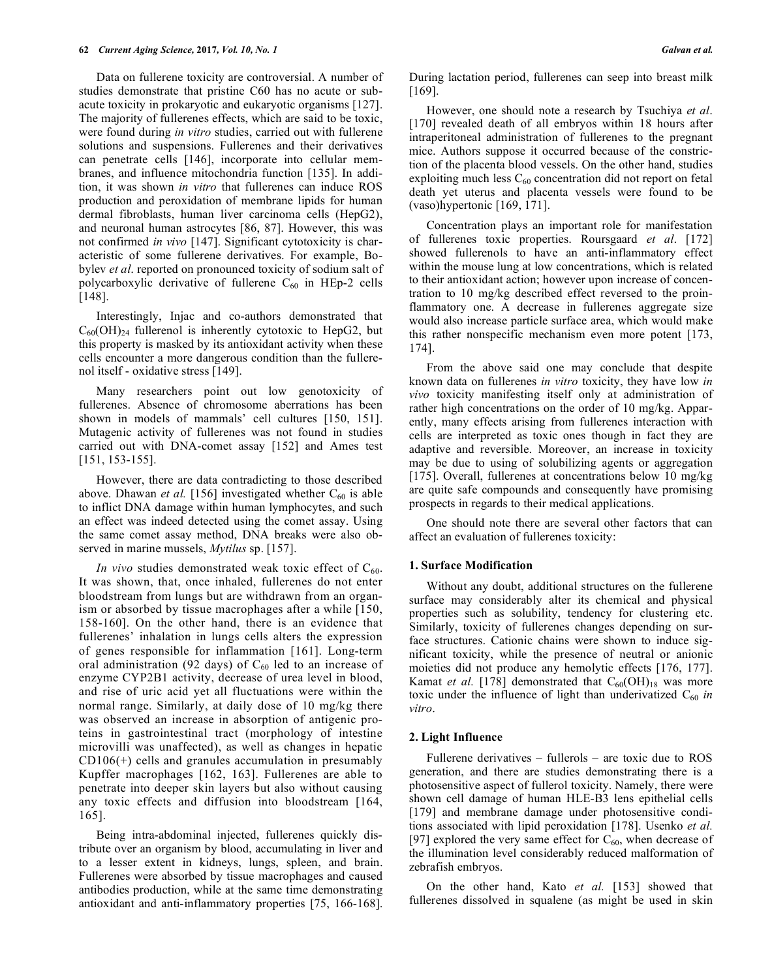Data on fullerene toxicity are controversial. A number of studies demonstrate that pristine C60 has no acute or subacute toxicity in prokaryotic and eukaryotic organisms [127]. The majority of fullerenes effects, which are said to be toxic, were found during *in vitro* studies, carried out with fullerene solutions and suspensions. Fullerenes and their derivatives can penetrate cells [146], incorporate into cellular membranes, and influence mitochondria function [135]. In addition, it was shown *in vitro* that fullerenes can induce ROS production and peroxidation of membrane lipids for human dermal fibroblasts, human liver carcinoma cells (HepG2), and neuronal human astrocytes [86, 87]. However, this was not confirmed *in vivo* [147]. Significant cytotoxicity is characteristic of some fullerene derivatives. For example, Bobylev *et al*. reported on pronounced toxicity of sodium salt of polycarboxylic derivative of fullerene  $C_{60}$  in HEp-2 cells [148].

Interestingly, Injac and co-authors demonstrated that  $C_{60}(OH)_{24}$  fullerenol is inherently cytotoxic to HepG2, but this property is masked by its antioxidant activity when these cells encounter a more dangerous condition than the fullerenol itself - oxidative stress [149].

Many researchers point out low genotoxicity of fullerenes. Absence of chromosome aberrations has been shown in models of mammals' cell cultures [150, 151]. Mutagenic activity of fullerenes was not found in studies carried out with DNA-comet assay [152] and Ames test [151, 153-155].

However, there are data contradicting to those described above. Dhawan *et al.* [156] investigated whether  $C_{60}$  is able to inflict DNA damage within human lymphocytes, and such an effect was indeed detected using the comet assay. Using the same comet assay method, DNA breaks were also observed in marine mussels, *Mytilus* sp. [157].

*In vivo* studies demonstrated weak toxic effect of  $C_{60}$ . It was shown, that, once inhaled, fullerenes do not enter bloodstream from lungs but are withdrawn from an organism or absorbed by tissue macrophages after a while [150, 158-160]. On the other hand, there is an evidence that fullerenes' inhalation in lungs cells alters the expression of genes responsible for inflammation [161]. Long-term oral administration (92 days) of  $C_{60}$  led to an increase of enzyme CYP2B1 activity, decrease of urea level in blood, and rise of uric acid yet all fluctuations were within the normal range. Similarly, at daily dose of 10 mg/kg there was observed an increase in absorption of antigenic proteins in gastrointestinal tract (morphology of intestine microvilli was unaffected), as well as changes in hepatic CD106(+) cells and granules accumulation in presumably Kupffer macrophages [162, 163]. Fullerenes are able to penetrate into deeper skin layers but also without causing any toxic effects and diffusion into bloodstream [164, 165].

Being intra-abdominal injected, fullerenes quickly distribute over an organism by blood, accumulating in liver and to a lesser extent in kidneys, lungs, spleen, and brain. Fullerenes were absorbed by tissue macrophages and caused antibodies production, while at the same time demonstrating antioxidant and anti-inflammatory properties [75, 166-168].

During lactation period, fullerenes can seep into breast milk [169].

However, one should note a research by Tsuchiya *et al*. [170] revealed death of all embryos within 18 hours after intraperitoneal administration of fullerenes to the pregnant mice. Authors suppose it occurred because of the constriction of the placenta blood vessels. On the other hand, studies exploiting much less  $C_{60}$  concentration did not report on fetal death yet uterus and placenta vessels were found to be (vaso)hypertonic [169, 171].

Concentration plays an important role for manifestation of fullerenes toxic properties. Roursgaard *et al*. [172] showed fullerenols to have an anti-inflammatory effect within the mouse lung at low concentrations, which is related to their antioxidant action; however upon increase of concentration to 10 mg/kg described effect reversed to the proinflammatory one. A decrease in fullerenes aggregate size would also increase particle surface area, which would make this rather nonspecific mechanism even more potent [173, 174].

From the above said one may conclude that despite known data on fullerenes *in vitro* toxicity, they have low *in vivo* toxicity manifesting itself only at administration of rather high concentrations on the order of 10 mg/kg. Apparently, many effects arising from fullerenes interaction with cells are interpreted as toxic ones though in fact they are adaptive and reversible. Moreover, an increase in toxicity may be due to using of solubilizing agents or aggregation [175]. Overall, fullerenes at concentrations below 10 mg/kg are quite safe compounds and consequently have promising prospects in regards to their medical applications.

One should note there are several other factors that can affect an evaluation of fullerenes toxicity:

#### **1. Surface Modification**

Without any doubt, additional structures on the fullerene surface may considerably alter its chemical and physical properties such as solubility, tendency for clustering etc. Similarly, toxicity of fullerenes changes depending on surface structures. Cationic chains were shown to induce significant toxicity, while the presence of neutral or anionic moieties did not produce any hemolytic effects [176, 177]. Kamat *et al.* [178] demonstrated that  $C_{60}(\text{OH})_{18}$  was more toxic under the influence of light than underivatized  $C_{60}$  *in vitro*.

#### **2. Light Influence**

Fullerene derivatives – fullerols – are toxic due to ROS generation, and there are studies demonstrating there is a photosensitive aspect of fullerol toxicity. Namely, there were shown cell damage of human HLE-B3 lens epithelial cells [179] and membrane damage under photosensitive conditions associated with lipid peroxidation [178]. Usenko *et al.* [97] explored the very same effect for  $C_{60}$ , when decrease of the illumination level considerably reduced malformation of zebrafish embryos.

On the other hand, Kato *et al.* [153] showed that fullerenes dissolved in squalene (as might be used in skin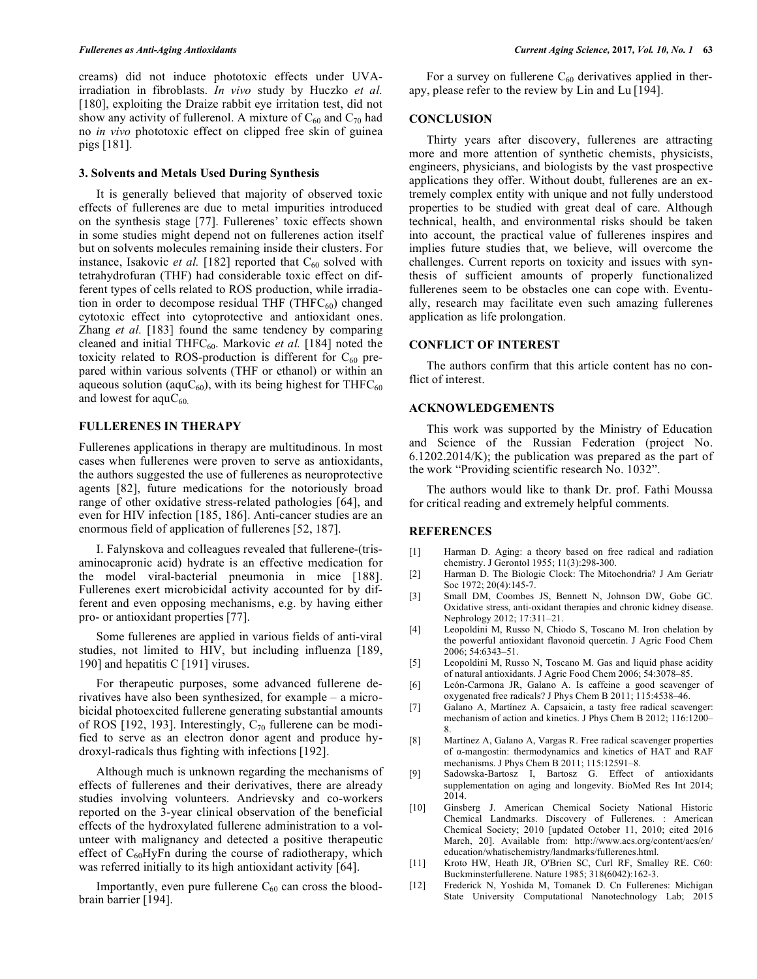creams) did not induce phototoxic effects under UVAirradiation in fibroblasts. *In vivo* study by Huczko *et al.* [180], exploiting the Draize rabbit eye irritation test, did not show any activity of fullerenol. A mixture of  $C_{60}$  and  $C_{70}$  had no *in vivo* phototoxic effect on clipped free skin of guinea pigs [181].

#### **3. Solvents and Metals Used During Synthesis**

It is generally believed that majority of observed toxic effects of fullerenes are due to metal impurities introduced on the synthesis stage [77]. Fullerenes' toxic effects shown in some studies might depend not on fullerenes action itself but on solvents molecules remaining inside their clusters. For instance, Isakovic *et al.* [182] reported that  $C_{60}$  solved with tetrahydrofuran (THF) had considerable toxic effect on different types of cells related to ROS production, while irradiation in order to decompose residual THF (THF $C_{60}$ ) changed cytotoxic effect into cytoprotective and antioxidant ones. Zhang *et al.* [183] found the same tendency by comparing cleaned and initial THFC<sub>60</sub>. Markovic et al. [184] noted the toxicity related to ROS-production is different for  $C_{60}$  prepared within various solvents (THF or ethanol) or within an aqueous solution (aqu $C_{60}$ ), with its being highest for THF $C_{60}$ and lowest for aqu $C_{60}$ .

#### **FULLERENES IN THERAPY**

Fullerenes applications in therapy are multitudinous. In most cases when fullerenes were proven to serve as antioxidants, the authors suggested the use of fullerenes as neuroprotective agents [82], future medications for the notoriously broad range of other oxidative stress-related pathologies [64], and even for HIV infection [185, 186]. Anti-cancer studies are an enormous field of application of fullerenes [52, 187].

I. Falynskova and colleagues revealed that fullerene-(trisaminocapronic acid) hydrate is an effective medication for the model viral-bacterial pneumonia in mice [188]. Fullerenes exert microbicidal activity accounted for by different and even opposing mechanisms, e.g. by having either pro- or antioxidant properties [77].

Some fullerenes are applied in various fields of anti-viral studies, not limited to HIV, but including influenza [189, 190] and hepatitis C [191] viruses.

For therapeutic purposes, some advanced fullerene derivatives have also been synthesized, for example – a microbicidal photoexcited fullerene generating substantial amounts of ROS [192, 193]. Interestingly,  $C_{70}$  fullerene can be modified to serve as an electron donor agent and produce hydroxyl-radicals thus fighting with infections [192].

Although much is unknown regarding the mechanisms of effects of fullerenes and their derivatives, there are already studies involving volunteers. Andrievsky and co-workers reported on the 3-year clinical observation of the beneficial effects of the hydroxylated fullerene administration to a volunteer with malignancy and detected a positive therapeutic effect of  $C_{60}HyFn$  during the course of radiotherapy, which was referred initially to its high antioxidant activity [64].

Importantly, even pure fullerene  $C_{60}$  can cross the bloodbrain barrier [194].

For a survey on fullerene  $C_{60}$  derivatives applied in therapy, please refer to the review by Lin and Lu [194].

#### **CONCLUSION**

Thirty years after discovery, fullerenes are attracting more and more attention of synthetic chemists, physicists, engineers, physicians, and biologists by the vast prospective applications they offer. Without doubt, fullerenes are an extremely complex entity with unique and not fully understood properties to be studied with great deal of care. Although technical, health, and environmental risks should be taken into account, the practical value of fullerenes inspires and implies future studies that, we believe, will overcome the challenges. Current reports on toxicity and issues with synthesis of sufficient amounts of properly functionalized fullerenes seem to be obstacles one can cope with. Eventually, research may facilitate even such amazing fullerenes application as life prolongation.

#### **CONFLICT OF INTEREST**

The authors confirm that this article content has no conflict of interest.

#### **ACKNOWLEDGEMENTS**

This work was supported by the Ministry of Education and Science of the Russian Federation (project No. 6.1202.2014/K); the publication was prepared as the part of the work "Providing scientific research No. 1032".

The authors would like to thank Dr. prof. Fathi Moussa for critical reading and extremely helpful comments.

#### **REFERENCES**

- [1] Harman D. Aging: a theory based on free radical and radiation chemistry. J Gerontol 1955; 11(3):298-300.
- [2] Harman D. The Biologic Clock: The Mitochondria? J Am Geriatr Soc 1972; 20(4):145-7.
- [3] Small DM, Coombes JS, Bennett N, Johnson DW, Gobe GC. Oxidative stress, anti-oxidant therapies and chronic kidney disease. Nephrology 2012; 17:311–21.
- [4] Leopoldini M, Russo N, Chiodo S, Toscano M. Iron chelation by the powerful antioxidant flavonoid quercetin. J Agric Food Chem 2006; 54:6343–51.
- [5] Leopoldini M, Russo N, Toscano M. Gas and liquid phase acidity of natural antioxidants. J Agric Food Chem 2006; 54:3078–85.
- [6] León-Carmona JR, Galano A. Is caffeine a good scavenger of oxygenated free radicals? J Phys Chem B 2011; 115:4538–46.
- [7] Galano A, Martínez A. Capsaicin, a tasty free radical scavenger: mechanism of action and kinetics. J Phys Chem B 2012; 116:1200– 8.
- [8] Martínez A, Galano A, Vargas R. Free radical scavenger properties of α-mangostin: thermodynamics and kinetics of HAT and RAF mechanisms. J Phys Chem B 2011; 115:12591–8.
- [9] Sadowska-Bartosz I, Bartosz G. Effect of antioxidants supplementation on aging and longevity. BioMed Res Int 2014;  $2014.$
- [10] Ginsberg J. American Chemical Society National Historic Chemical Landmarks. Discovery of Fullerenes. : American Chemical Society; 2010 [updated October 11, 2010; cited 2016 March, 20]. Available from: http://www.acs.org/content/acs/en/ education/whatischemistry/landmarks/fullerenes.html.
- [11] Kroto HW, Heath JR, O'Brien SC, Curl RF, Smalley RE. C60: Buckminsterfullerene. Nature 1985; 318(6042):162-3.
- [12] Frederick N, Yoshida M, Tomanek D. Cn Fullerenes: Michigan State University Computational Nanotechnology Lab; 2015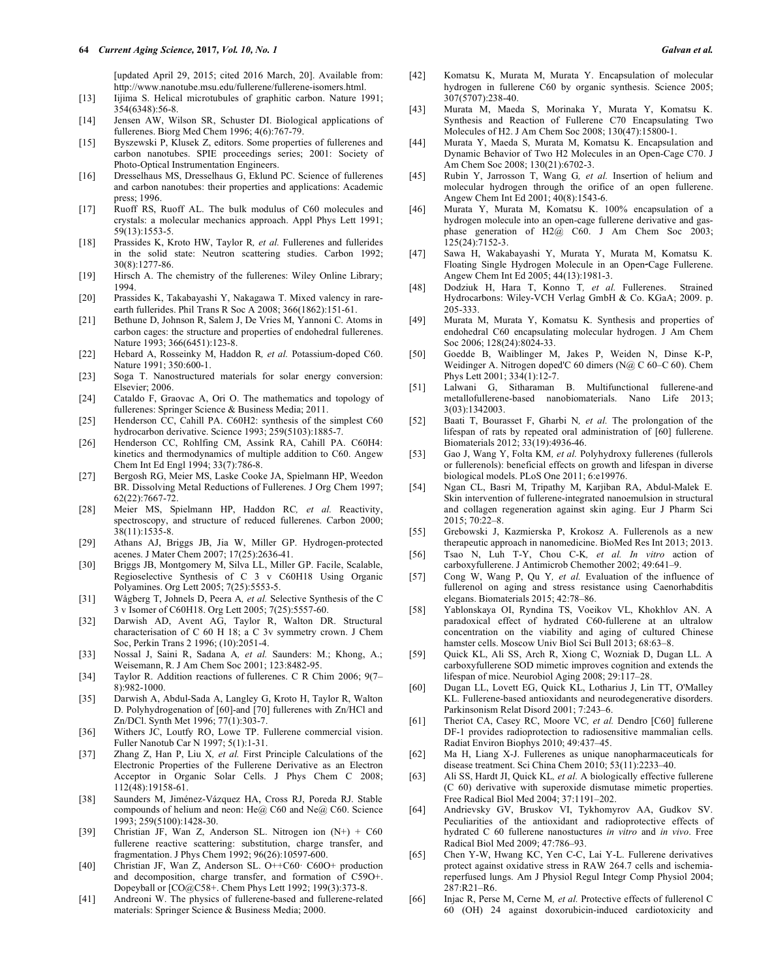[updated April 29, 2015; cited 2016 March, 20]. Available from: http://www.nanotube.msu.edu/fullerene/fullerene-isomers.html.

- [13] Iijima S. Helical microtubules of graphitic carbon. Nature 1991; 354(6348):56-8.
- [14] Jensen AW, Wilson SR, Schuster DI. Biological applications of fullerenes. Biorg Med Chem 1996; 4(6):767-79.
- [15] Byszewski P, Klusek Z, editors. Some properties of fullerenes and carbon nanotubes. SPIE proceedings series; 2001: Society of Photo-Optical Instrumentation Engineers.
- [16] Dresselhaus MS, Dresselhaus G, Eklund PC. Science of fullerenes and carbon nanotubes: their properties and applications: Academic press; 1996.
- [17] Ruoff RS, Ruoff AL. The bulk modulus of C60 molecules and crystals: a molecular mechanics approach. Appl Phys Lett 1991; 59(13):1553-5.
- [18] Prassides K, Kroto HW, Taylor R*, et al.* Fullerenes and fullerides in the solid state: Neutron scattering studies. Carbon 1992; 30(8):1277-86.
- [19] Hirsch A. The chemistry of the fullerenes: Wiley Online Library; 1994.
- [20] Prassides K, Takabayashi Y, Nakagawa T. Mixed valency in rareearth fullerides. Phil Trans R Soc A 2008; 366(1862):151-61.
- [21] Bethune D, Johnson R, Salem J, De Vries M, Yannoni C. Atoms in carbon cages: the structure and properties of endohedral fullerenes. Nature 1993; 366(6451):123-8.
- [22] Hebard A, Rosseinky M, Haddon R*, et al.* Potassium-doped C60. Nature 1991; 350:600-1.
- [23] Soga T. Nanostructured materials for solar energy conversion: Elsevier; 2006.
- [24] Cataldo F, Graovac A, Ori O. The mathematics and topology of fullerenes: Springer Science & Business Media; 2011.
- [25] Henderson CC, Cahill PA. C60H2: synthesis of the simplest C60 hydrocarbon derivative. Science 1993; 259(5103):1885-7.
- [26] Henderson CC, Rohlfing CM, Assink RA, Cahill PA. C60H4: kinetics and thermodynamics of multiple addition to C60. Angew Chem Int Ed Engl 1994; 33(7):786-8.
- [27] Bergosh RG, Meier MS, Laske Cooke JA, Spielmann HP, Weedon BR. Dissolving Metal Reductions of Fullerenes. J Org Chem 1997; 62(22):7667-72.
- [28] Meier MS, Spielmann HP, Haddon RC*, et al.* Reactivity, spectroscopy, and structure of reduced fullerenes. Carbon 2000; 38(11):1535-8.
- [29] Athans AJ, Briggs JB, Jia W, Miller GP. Hydrogen-protected acenes. J Mater Chem 2007; 17(25):2636-41.
- [30] Briggs JB, Montgomery M, Silva LL, Miller GP. Facile, Scalable, Regioselective Synthesis of C 3 v C60H18 Using Organic Polyamines. Org Lett 2005; 7(25):5553-5.
- [31] Wågberg T, Johnels D, Peera A*, et al.* Selective Synthesis of the C 3 v Isomer of C60H18. Org Lett 2005; 7(25):5557-60.
- [32] Darwish AD, Avent AG, Taylor R, Walton DR. Structural characterisation of C 60 H 18; a C 3v symmetry crown. J Chem Soc, Perkin Trans 2 1996; (10):2051-4.
- [33] Nossal J, Saini R, Sadana A*, et al.* Saunders: M.; Khong, A.; Weisemann, R. J Am Chem Soc 2001; 123:8482-95.
- [34] Taylor R. Addition reactions of fullerenes. C R Chim 2006; 9(7– 8):982-1000.
- [35] Darwish A, Abdul-Sada A, Langley G, Kroto H, Taylor R, Walton D. Polyhydrogenation of [60]-and [70] fullerenes with Zn/HCl and Zn/DCl. Synth Met 1996; 77(1):303-7.
- [36] Withers JC, Loutfy RO, Lowe TP. Fullerene commercial vision. Fuller Nanotub Car N 1997; 5(1):1-31.
- [37] Zhang Z, Han P, Liu X*, et al.* First Principle Calculations of the Electronic Properties of the Fullerene Derivative as an Electron Acceptor in Organic Solar Cells. J Phys Chem C 2008; 112(48):19158-61.
- [38] Saunders M, Jiménez-Vázquez HA, Cross RJ, Poreda RJ. Stable compounds of helium and neon: He@ C60 and Ne@ C60. Science 1993; 259(5100):1428-30.
- [39] Christian JF, Wan Z, Anderson SL. Nitrogen ion  $(N+)+C60$ fullerene reactive scattering: substitution, charge transfer, and fragmentation. J Phys Chem 1992; 96(26):10597-600.
- [40] Christian JF, Wan Z, Anderson SL. O++C60· C60O+ production and decomposition, charge transfer, and formation of C59O+. Dopeyball or [CO@C58+. Chem Phys Lett 1992; 199(3):373-8.
- [41] Andreoni W. The physics of fullerene-based and fullerene-related materials: Springer Science & Business Media; 2000.
- [42] Komatsu K, Murata M, Murata Y. Encapsulation of molecular hydrogen in fullerene C60 by organic synthesis. Science 2005; 307(5707):238-40.
- [43] Murata M, Maeda S, Morinaka Y, Murata Y, Komatsu K. Synthesis and Reaction of Fullerene C70 Encapsulating Two Molecules of H2. J Am Chem Soc 2008; 130(47):15800-1.
- [44] Murata Y, Maeda S, Murata M, Komatsu K. Encapsulation and Dynamic Behavior of Two H2 Molecules in an Open-Cage C70. J Am Chem Soc 2008; 130(21):6702-3.
- [45] Rubin Y, Jarrosson T, Wang G*, et al.* Insertion of helium and molecular hydrogen through the orifice of an open fullerene. Angew Chem Int Ed 2001; 40(8):1543-6.
- [46] Murata Y, Murata M, Komatsu K. 100% encapsulation of a hydrogen molecule into an open-cage fullerene derivative and gasphase generation of  $H2@$  C60. J Am Chem Soc 2003;  $125(24)$ : 7152-3.
- [47] Sawa H, Wakabayashi Y, Murata Y, Murata M, Komatsu K. Floating Single Hydrogen Molecule in an Open-Cage Fullerene. Angew Chem Int Ed 2005; 44(13):1981-3.
- [48] Dodziuk H, Hara T, Konno T*, et al.* Fullerenes. Strained Hydrocarbons: Wiley-VCH Verlag GmbH & Co. KGaA; 2009. p. 205-333.
- [49] Murata M, Murata Y, Komatsu K. Synthesis and properties of endohedral C60 encapsulating molecular hydrogen. J Am Chem Soc 2006; 128(24):8024-33.
- [50] Goedde B, Waiblinger M, Jakes P, Weiden N, Dinse K-P, Weidinger A. Nitrogen doped'C 60 dimers (N@ C 60–C 60). Chem Phys Lett 2001; 334(1):12-7.
- [51] Lalwani G, Sitharaman B. Multifunctional fullerene-and metallofullerene-based nanobiomaterials. Nano Life 2013; 3(03):1342003.
- [52] Baati T, Bourasset F, Gharbi N*, et al.* The prolongation of the lifespan of rats by repeated oral administration of [60] fullerene. Biomaterials 2012; 33(19):4936-46.
- [53] Gao J, Wang Y, Folta KM*, et al.* Polyhydroxy fullerenes (fullerols or fullerenols): beneficial effects on growth and lifespan in diverse biological models. PLoS One 2011; 6:e19976.
- [54] Ngan CL, Basri M, Tripathy M, Karjiban RA, Abdul-Malek E. Skin intervention of fullerene-integrated nanoemulsion in structural and collagen regeneration against skin aging. Eur J Pharm Sci 2015; 70:22–8.
- [55] Grebowski J, Kazmierska P, Krokosz A. Fullerenols as a new therapeutic approach in nanomedicine. BioMed Res Int 2013; 2013.
- [56] Tsao N, Luh T-Y, Chou C-K*, et al. In vitro* action of carboxyfullerene. J Antimicrob Chemother 2002; 49:641–9.
- [57] Cong W, Wang P, Qu Y*, et al.* Evaluation of the influence of fullerenol on aging and stress resistance using Caenorhabditis elegans. Biomaterials 2015; 42:78–86.
- [58] Yablonskaya OI, Ryndina TS, Voeikov VL, Khokhlov AN. A paradoxical effect of hydrated C60-fullerene at an ultralow concentration on the viability and aging of cultured Chinese hamster cells. Moscow Univ Biol Sci Bull 2013; 68:63-8.
- [59] Quick KL, Ali SS, Arch R, Xiong C, Wozniak D, Dugan LL. A carboxyfullerene SOD mimetic improves cognition and extends the lifespan of mice. Neurobiol Aging 2008; 29:117–28.
- [60] Dugan LL, Lovett EG, Quick KL, Lotharius J, Lin TT, O'Malley KL. Fullerene-based antioxidants and neurodegenerative disorders. Parkinsonism Relat Disord 2001; 7:243–6.
- [61] Theriot CA, Casey RC, Moore VC*, et al.* Dendro [C60] fullerene DF-1 provides radioprotection to radiosensitive mammalian cells. Radiat Environ Biophys 2010; 49:437–45.
- [62] Ma H, Liang X-J. Fullerenes as unique nanopharmaceuticals for disease treatment. Sci China Chem 2010; 53(11):2233–40.
- [63] Ali SS, Hardt JI, Quick KL*, et al.* A biologically effective fullerene (C 60) derivative with superoxide dismutase mimetic properties. Free Radical Biol Med 2004; 37:1191–202.
- [64] Andrievsky GV, Bruskov VI, Tykhomyrov AA, Gudkov SV. Peculiarities of the antioxidant and radioprotective effects of hydrated C 60 fullerene nanostuctures *in vitro* and *in vivo*. Free Radical Biol Med 2009; 47:786–93.
- [65] Chen Y-W, Hwang KC, Yen C-C, Lai Y-L. Fullerene derivatives protect against oxidative stress in RAW 264.7 cells and ischemiareperfused lungs. Am J Physiol Regul Integr Comp Physiol 2004; 287:R21–R6.
- [66] Injac R, Perse M, Cerne M*, et al.* Protective effects of fullerenol C 60 (OH) 24 against doxorubicin-induced cardiotoxicity and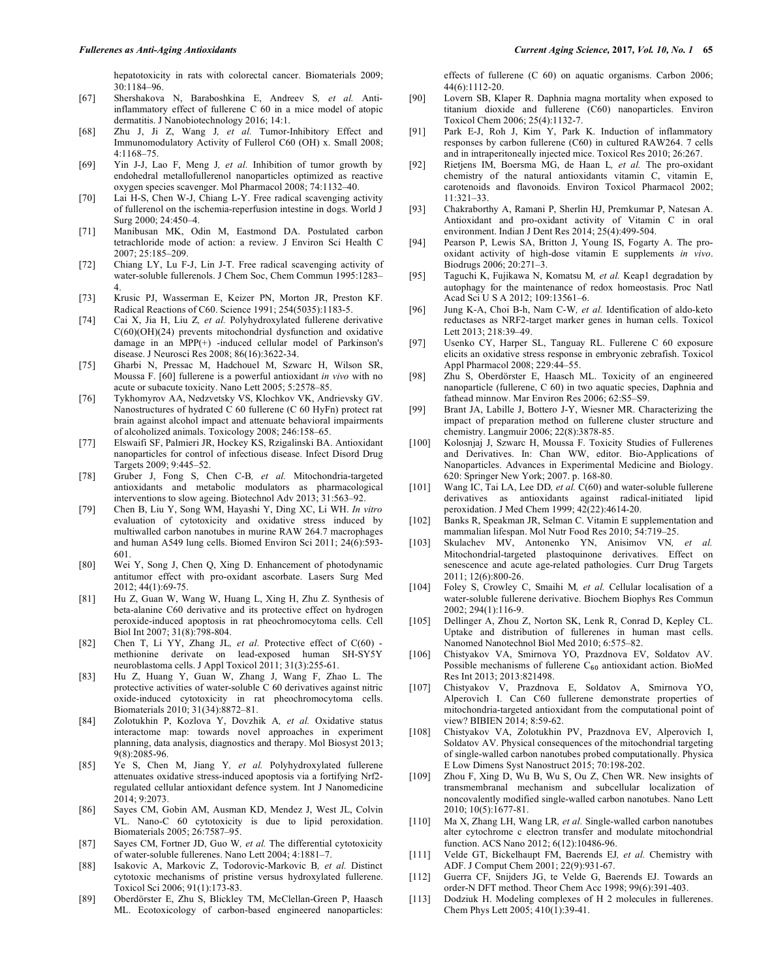hepatotoxicity in rats with colorectal cancer. Biomaterials 2009; 30:1184–96.

- [67] Shershakova N, Baraboshkina E, Andreev S*, et al.* Antiinflammatory effect of fullerene C 60 in a mice model of atopic dermatitis. J Nanobiotechnology 2016; 14:1.
- [68] Zhu J, Ji Z, Wang J*, et al.* Tumor-Inhibitory Effect and Immunomodulatory Activity of Fullerol C60 (OH) x. Small 2008; 4:1168–75.
- [69] Yin J-J, Lao F, Meng J*, et al.* Inhibition of tumor growth by endohedral metallofullerenol nanoparticles optimized as reactive oxygen species scavenger. Mol Pharmacol 2008; 74:1132–40.
- [70] Lai H-S, Chen W-J, Chiang L-Y. Free radical scavenging activity of fullerenol on the ischemia-reperfusion intestine in dogs. World J Surg 2000; 24:450–4.
- [71] Manibusan MK, Odin M, Eastmond DA. Postulated carbon tetrachloride mode of action: a review. J Environ Sci Health C 2007; 25:185–209.
- [72] Chiang LY, Lu F-J, Lin J-T. Free radical scavenging activity of water-soluble fullerenols. J Chem Soc, Chem Commun 1995:1283– 4.
- [73] Krusic PJ, Wasserman E, Keizer PN, Morton JR, Preston KF. Radical Reactions of C60. Science 1991; 254(5035):1183-5.
- [74] Cai X, Jia H, Liu Z*, et al.* Polyhydroxylated fullerene derivative C(60)(OH)(24) prevents mitochondrial dysfunction and oxidative damage in an MPP(+) -induced cellular model of Parkinson's disease. J Neurosci Res 2008; 86(16):3622-34.
- [75] Gharbi N, Pressac M, Hadchouel M, Szwarc H, Wilson SR, Moussa F. [60] fullerene is a powerful antioxidant *in vivo* with no acute or subacute toxicity. Nano Lett 2005; 5:2578–85.
- [76] Tykhomyrov AA, Nedzvetsky VS, Klochkov VK, Andrievsky GV. Nanostructures of hydrated C 60 fullerene (C 60 HyFn) protect rat brain against alcohol impact and attenuate behavioral impairments of alcoholized animals. Toxicology 2008; 246:158–65.
- [77] Elswaifi SF, Palmieri JR, Hockey KS, Rzigalinski BA. Antioxidant nanoparticles for control of infectious disease. Infect Disord Drug Targets 2009; 9:445–52.
- [78] Gruber J, Fong S, Chen C-B*, et al.* Mitochondria-targeted antioxidants and metabolic modulators as pharmacological interventions to slow ageing. Biotechnol Adv 2013; 31:563–92.
- [79] Chen B, Liu Y, Song WM, Hayashi Y, Ding XC, Li WH. *In vitro* evaluation of cytotoxicity and oxidative stress induced by multiwalled carbon nanotubes in murine RAW 264.7 macrophages and human A549 lung cells. Biomed Environ Sci 2011; 24(6):593- 601.
- [80] Wei Y, Song J, Chen Q, Xing D. Enhancement of photodynamic antitumor effect with pro-oxidant ascorbate. Lasers Surg Med 2012; 44(1):69-75.
- [81] Hu Z, Guan W, Wang W, Huang L, Xing H, Zhu Z. Synthesis of beta-alanine C60 derivative and its protective effect on hydrogen peroxide-induced apoptosis in rat pheochromocytoma cells. Cell Biol Int 2007; 31(8):798-804.
- [82] Chen T, Li YY, Zhang JL*, et al.* Protective effect of C(60) methionine derivate on lead-exposed human SH-SY5Y neuroblastoma cells. J Appl Toxicol 2011; 31(3):255-61.
- [83] Hu Z, Huang Y, Guan W, Zhang J, Wang F, Zhao L. The protective activities of water-soluble C 60 derivatives against nitric oxide-induced cytotoxicity in rat pheochromocytoma cells. Biomaterials 2010; 31(34):8872–81.
- [84] Zolotukhin P, Kozlova Y, Dovzhik A*, et al.* Oxidative status interactome map: towards novel approaches in experiment planning, data analysis, diagnostics and therapy. Mol Biosyst 2013; 9(8):2085-96.
- [85] Ye S, Chen M, Jiang Y*, et al.* Polyhydroxylated fullerene attenuates oxidative stress-induced apoptosis via a fortifying Nrf2 regulated cellular antioxidant defence system. Int J Nanomedicine 2014; 9:2073.
- [86] Sayes CM, Gobin AM, Ausman KD, Mendez J, West JL, Colvin VL. Nano-C 60 cytotoxicity is due to lipid peroxidation. Biomaterials 2005; 26:7587–95.
- [87] Sayes CM, Fortner JD, Guo W*, et al.* The differential cytotoxicity of water-soluble fullerenes. Nano Lett 2004; 4:1881–7.
- [88] Isakovic A, Markovic Z, Todorovic-Markovic B*, et al.* Distinct cytotoxic mechanisms of pristine versus hydroxylated fullerene. Toxicol Sci 2006; 91(1):173-83.
- [89] Oberdörster E, Zhu S, Blickley TM, McClellan-Green P, Haasch ML. Ecotoxicology of carbon-based engineered nanoparticles:

effects of fullerene (C 60) on aquatic organisms. Carbon 2006; 44(6):1112-20.

- [90] Lovern SB, Klaper R. Daphnia magna mortality when exposed to titanium dioxide and fullerene (C60) nanoparticles. Environ Toxicol Chem 2006; 25(4):1132-7.
- [91] Park E-J, Roh J, Kim Y, Park K. Induction of inflammatory responses by carbon fullerene (C60) in cultured RAW264. 7 cells and in intraperitoneally injected mice. Toxicol Res 2010; 26:267.
- [92] Rietjens IM, Boersma MG, de Haan L*, et al.* The pro-oxidant chemistry of the natural antioxidants vitamin C, vitamin E, carotenoids and flavonoids. Environ Toxicol Pharmacol 2002; 11:321–33.
- [93] Chakraborthy A, Ramani P, Sherlin HJ, Premkumar P, Natesan A. Antioxidant and pro-oxidant activity of Vitamin C in oral environment. Indian J Dent Res 2014; 25(4):499-504.
- [94] Pearson P, Lewis SA, Britton J, Young IS, Fogarty A. The prooxidant activity of high-dose vitamin E supplements *in vivo*. Biodrugs 2006; 20:271–3.
- [95] Taguchi K, Fujikawa N, Komatsu M*, et al.* Keap1 degradation by autophagy for the maintenance of redox homeostasis. Proc Natl Acad Sci U S A 2012; 109:13561–6.
- [96] Jung K-A, Choi B-h, Nam C-W*, et al.* Identification of aldo-keto reductases as NRF2-target marker genes in human cells. Toxicol Lett 2013; 218:39–49.
- [97] Usenko CY, Harper SL, Tanguay RL. Fullerene C 60 exposure elicits an oxidative stress response in embryonic zebrafish. Toxicol Appl Pharmacol 2008; 229:44–55.
- [98] Zhu S, Oberdörster E, Haasch ML. Toxicity of an engineered nanoparticle (fullerene, C 60) in two aquatic species, Daphnia and fathead minnow. Mar Environ Res 2006; 62:S5–S9.
- [99] Brant JA, Labille J, Bottero J-Y, Wiesner MR. Characterizing the impact of preparation method on fullerene cluster structure and chemistry. Langmuir 2006; 22(8):3878-85.
- [100] Kolosnjaj J, Szwarc H, Moussa F. Toxicity Studies of Fullerenes and Derivatives. In: Chan WW, editor. Bio-Applications of Nanoparticles. Advances in Experimental Medicine and Biology. 620: Springer New York; 2007. p. 168-80.
- [101] Wang IC, Tai LA, Lee DD, et al. C(60) and water-soluble fullerene derivatives as antioxidants against radical-initiated lipid peroxidation. J Med Chem 1999; 42(22):4614-20.
- [102] Banks R, Speakman JR, Selman C. Vitamin E supplementation and mammalian lifespan. Mol Nutr Food Res 2010; 54:719–25.
- [103] Skulachev MV, Antonenko YN, Anisimov VN*, et al.* Mitochondrial-targeted plastoquinone derivatives. Effect on senescence and acute age-related pathologies. Curr Drug Targets 2011; 12(6):800-26.
- [104] Foley S, Crowley C, Smaihi M*, et al.* Cellular localisation of a water-soluble fullerene derivative. Biochem Biophys Res Commun 2002; 294(1):116-9.
- [105] Dellinger A, Zhou Z, Norton SK, Lenk R, Conrad D, Kepley CL. Uptake and distribution of fullerenes in human mast cells. Nanomed Nanotechnol Biol Med 2010; 6:575–82.
- [106] Chistyakov VA, Smirnova YO, Prazdnova EV, Soldatov AV. Possible mechanisms of fullerene  $C_{60}$  antioxidant action. BioMed Res Int 2013; 2013:821498.
- [107] Chistyakov V, Prazdnova E, Soldatov A, Smirnova YO, Alperovich I. Can C60 fullerene demonstrate properties of mitochondria-targeted antioxidant from the computational point of view? BIBIEN 2014; 8:59-62.
- [108] Chistyakov VA, Zolotukhin PV, Prazdnova EV, Alperovich I, Soldatov AV. Physical consequences of the mitochondrial targeting of single-walled carbon nanotubes probed computationally. Physica E Low Dimens Syst Nanostruct 2015; 70:198-202.
- [109] Zhou F, Xing D, Wu B, Wu S, Ou Z, Chen WR. New insights of transmembranal mechanism and subcellular localization of noncovalently modified single-walled carbon nanotubes. Nano Lett 2010; 10(5):1677-81.
- [110] Ma X, Zhang LH, Wang LR*, et al.* Single-walled carbon nanotubes alter cytochrome c electron transfer and modulate mitochondrial function. ACS Nano 2012; 6(12):10486-96.
- [111] Velde GT, Bickelhaupt FM, Baerends EJ*, et al.* Chemistry with ADF. J Comput Chem 2001; 22(9):931-67.
- [112] Guerra CF, Snijders JG, te Velde G, Baerends EJ. Towards an order-N DFT method. Theor Chem Acc 1998; 99(6):391-403.
- [113] Dodziuk H. Modeling complexes of H 2 molecules in fullerenes. Chem Phys Lett 2005; 410(1):39-41.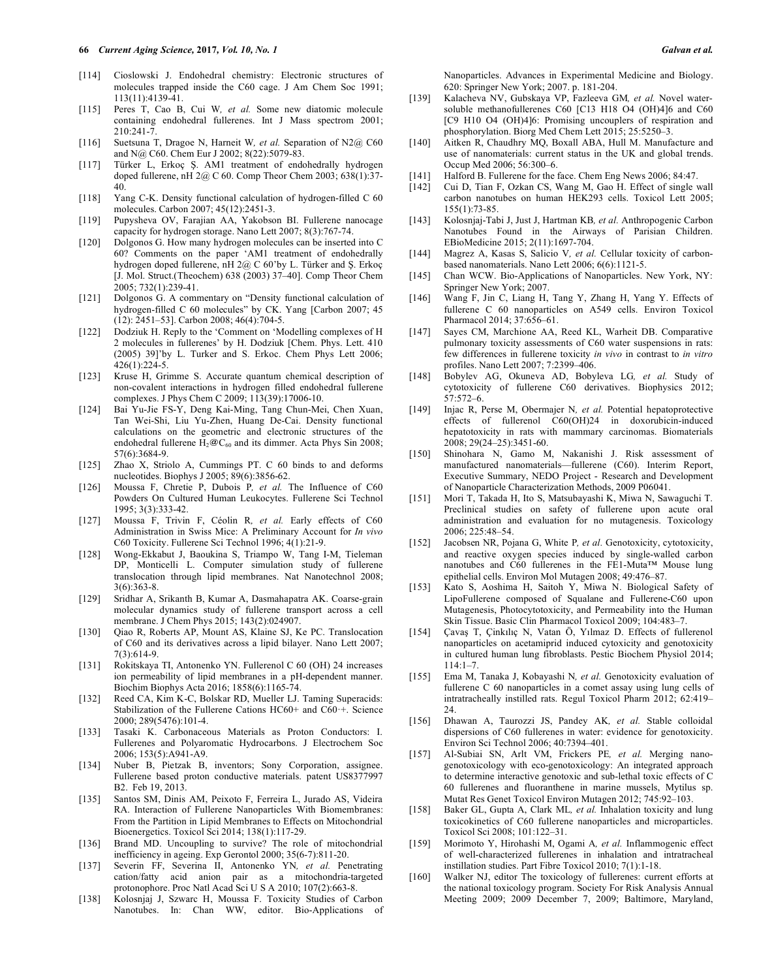- [114] Cioslowski J. Endohedral chemistry: Electronic structures of molecules trapped inside the C60 cage. J Am Chem Soc 1991; 113(11):4139-41.
- [115] Peres T, Cao B, Cui W*, et al.* Some new diatomic molecule containing endohedral fullerenes. Int J Mass spectrom 2001; 210:241-7.
- [116] Suetsuna T, Dragoe N, Harneit W*, et al.* Separation of N2@ C60 and N@ C60. Chem Eur J 2002; 8(22):5079-83.
- [117] Türker L, Erkoç Ş. AM1 treatment of endohedrally hydrogen doped fullerene, nH 2@ C 60. Comp Theor Chem 2003; 638(1):37- 40.
- [118] Yang C-K. Density functional calculation of hydrogen-filled C 60 molecules. Carbon 2007; 45(12):2451-3.
- [119] Pupysheva OV, Farajian AA, Yakobson BI. Fullerene nanocage capacity for hydrogen storage. Nano Lett 2007; 8(3):767-74.
- [120] Dolgonos G. How many hydrogen molecules can be inserted into C 60? Comments on the paper 'AM1 treatment of endohedrally hydrogen doped fullerene, nH 2@ C 60'by L. Türker and Ş. Erkoç [J. Mol. Struct.(Theochem) 638 (2003) 37–40]. Comp Theor Chem 2005; 732(1):239-41.
- [121] Dolgonos G. A commentary on "Density functional calculation of hydrogen-filled C 60 molecules" by CK. Yang [Carbon 2007; 45 (12): 2451–53]. Carbon 2008; 46(4):704-5.
- [122] Dodziuk H. Reply to the 'Comment on 'Modelling complexes of H 2 molecules in fullerenes' by H. Dodziuk [Chem. Phys. Lett. 410 (2005) 39]'by L. Turker and S. Erkoc. Chem Phys Lett 2006;  $426(1):224-5.$
- [123] Kruse H, Grimme S. Accurate quantum chemical description of non-covalent interactions in hydrogen filled endohedral fullerene complexes. J Phys Chem C 2009; 113(39):17006-10.
- [124] Bai Yu-Jie FS-Y, Deng Kai-Ming, Tang Chun-Mei, Chen Xuan, Tan Wei-Shi, Liu Yu-Zhen, Huang De-Cai. Density functional calculations on the geometric and electronic structures of the endohedral fullerene H<sub>2</sub>@C<sub>60</sub> and its dimmer. Acta Phys Sin 2008; 57(6):3684-9.
- [125] Zhao X, Striolo A, Cummings PT. C 60 binds to and deforms nucleotides. Biophys J 2005; 89(6):3856-62.
- [126] Moussa F, Chretie P, Dubois P, et al. The Influence of C60 Powders On Cultured Human Leukocytes. Fullerene Sci Technol 1995; 3(3):333-42.
- [127] Moussa F, Trivin F, Céolin R*, et al.* Early effects of C60 Administration in Swiss Mice: A Preliminary Account for *In vivo* C60 Toxicity. Fullerene Sci Technol 1996; 4(1):21-9.
- [128] Wong-Ekkabut J, Baoukina S, Triampo W, Tang I-M, Tieleman DP, Monticelli L. Computer simulation study of fullerene translocation through lipid membranes. Nat Nanotechnol 2008; 3(6):363-8.
- [129] Sridhar A, Srikanth B, Kumar A, Dasmahapatra AK. Coarse-grain molecular dynamics study of fullerene transport across a cell membrane. J Chem Phys 2015; 143(2):024907.
- [130] Qiao R, Roberts AP, Mount AS, Klaine SJ, Ke PC. Translocation of C60 and its derivatives across a lipid bilayer. Nano Lett 2007; 7(3):614-9.
- [131] Rokitskaya TI, Antonenko YN. Fullerenol C 60 (OH) 24 increases ion permeability of lipid membranes in a pH-dependent manner. Biochim Biophys Acta 2016; 1858(6):1165-74.
- [132] Reed CA, Kim K-C, Bolskar RD, Mueller LJ. Taming Superacids: Stabilization of the Fullerene Cations HC60+ and C60·+. Science 2000; 289(5476):101-4.
- [133] Tasaki K. Carbonaceous Materials as Proton Conductors: I. Fullerenes and Polyaromatic Hydrocarbons. J Electrochem Soc 2006; 153(5):A941-A9.
- [134] Nuber B, Pietzak B, inventors; Sony Corporation, assignee. Fullerene based proton conductive materials. patent US8377997 B2. Feb 19, 2013.
- [135] Santos SM, Dinis AM, Peixoto F, Ferreira L, Jurado AS, Videira RA. Interaction of Fullerene Nanoparticles With Biomembranes: From the Partition in Lipid Membranes to Effects on Mitochondrial Bioenergetics. Toxicol Sci 2014; 138(1):117-29.
- [136] Brand MD. Uncoupling to survive? The role of mitochondrial inefficiency in ageing. Exp Gerontol 2000; 35(6-7):811-20.
- [137] Severin FF, Severina II, Antonenko YN*, et al.* Penetrating cation/fatty acid anion pair as a mitochondria-targeted protonophore. Proc Natl Acad Sci U S A 2010; 107(2):663-8.
- [138] Kolosnjaj J, Szwarc H, Moussa F. Toxicity Studies of Carbon Nanotubes. In: Chan WW, editor. Bio-Applications of

Nanoparticles. Advances in Experimental Medicine and Biology. 620: Springer New York; 2007. p. 181-204.

- [139] Kalacheva NV, Gubskaya VP, Fazleeva GM*, et al.* Novel watersoluble methanofullerenes C60 [C13 H18 O4 (OH)4]6 and C60 [C9 H10 O4 (OH)4]6: Promising uncouplers of respiration and phosphorylation. Biorg Med Chem Lett 2015; 25:5250–3.
- [140] Aitken R, Chaudhry MQ, Boxall ABA, Hull M. Manufacture and use of nanomaterials: current status in the UK and global trends. Occup Med 2006; 56:300–6.
- [141] Halford B. Fullerene for the face. Chem Eng News 2006; 84:47.
- [142] Cui D, Tian F, Ozkan CS, Wang M, Gao H. Effect of single wall carbon nanotubes on human HEK293 cells. Toxicol Lett 2005; 155(1):73-85.
- [143] Kolosnjaj-Tabi J, Just J, Hartman KB*, et al.* Anthropogenic Carbon Nanotubes Found in the Airways of Parisian Children. EBioMedicine 2015; 2(11):1697-704.
- [144] Magrez A, Kasas S, Salicio V*, et al.* Cellular toxicity of carbonbased nanomaterials. Nano Lett 2006; 6(6):1121-5.
- [145] Chan WCW. Bio-Applications of Nanoparticles. New York, NY: Springer New York; 2007.
- [146] Wang F, Jin C, Liang H, Tang Y, Zhang H, Yang Y. Effects of fullerene C 60 nanoparticles on A549 cells. Environ Toxicol Pharmacol 2014; 37:656–61.
- [147] Sayes CM, Marchione AA, Reed KL, Warheit DB. Comparative pulmonary toxicity assessments of C60 water suspensions in rats: few differences in fullerene toxicity *in vivo* in contrast to *in vitro* profiles. Nano Lett 2007; 7:2399–406.
- [148] Bobylev AG, Okuneva AD, Bobyleva LG*, et al.* Study of cytotoxicity of fullerene C60 derivatives. Biophysics 2012; 57:572–6.
- [149] Injac R, Perse M, Obermajer N*, et al.* Potential hepatoprotective effects of fullerenol C60(OH)24 in doxorubicin-induced hepatotoxicity in rats with mammary carcinomas. Biomaterials 2008; 29(24–25):3451-60.
- [150] Shinohara N, Gamo M, Nakanishi J. Risk assessment of manufactured nanomaterials—fullerene (C60). Interim Report, Executive Summary, NEDO Project - Research and Development of Nanoparticle Characterization Methods, 2009 P06041.
- [151] Mori T, Takada H, Ito S, Matsubayashi K, Miwa N, Sawaguchi T. Preclinical studies on safety of fullerene upon acute oral administration and evaluation for no mutagenesis. Toxicology 2006; 225:48–54.
- [152] Jacobsen NR, Pojana G, White P*, et al.* Genotoxicity, cytotoxicity, and reactive oxygen species induced by single-walled carbon nanotubes and C60 fullerenes in the FE1-Muta™ Mouse lung epithelial cells. Environ Mol Mutagen 2008; 49:476–87.
- [153] Kato S, Aoshima H, Saitoh Y, Miwa N. Biological Safety of LipoFullerene composed of Squalane and Fullerene-C60 upon Mutagenesis, Photocytotoxicity, and Permeability into the Human Skin Tissue. Basic Clin Pharmacol Toxicol 2009; 104:483–7.
- [154] Çavaş T, Çinkılıç N, Vatan Ö, Yılmaz D. Effects of fullerenol nanoparticles on acetamiprid induced cytoxicity and genotoxicity in cultured human lung fibroblasts. Pestic Biochem Physiol 2014; 114:1–7.
- [155] Ema M, Tanaka J, Kobayashi N*, et al.* Genotoxicity evaluation of fullerene C 60 nanoparticles in a comet assay using lung cells of intratracheally instilled rats. Regul Toxicol Pharm 2012; 62:419–  $24.$
- [156] Dhawan A, Taurozzi JS, Pandey AK*, et al.* Stable colloidal dispersions of C60 fullerenes in water: evidence for genotoxicity. Environ Sci Technol 2006; 40:7394–401.
- [157] Al-Subiai SN, Arlt VM, Frickers PE*, et al.* Merging nanogenotoxicology with eco-genotoxicology: An integrated approach to determine interactive genotoxic and sub-lethal toxic effects of C 60 fullerenes and fluoranthene in marine mussels, Mytilus sp. Mutat Res Genet Toxicol Environ Mutagen 2012; 745:92–103.
- [158] Baker GL, Gupta A, Clark ML, et al. Inhalation toxicity and lung toxicokinetics of C60 fullerene nanoparticles and microparticles. Toxicol Sci 2008; 101:122–31.
- [159] Morimoto Y, Hirohashi M, Ogami A*, et al.* Inflammogenic effect of well-characterized fullerenes in inhalation and intratracheal instillation studies. Part Fibre Toxicol 2010; 7(1):1-18.
- [160] Walker NJ, editor The toxicology of fullerenes: current efforts at the national toxicology program. Society For Risk Analysis Annual Meeting 2009; 2009 December 7, 2009; Baltimore, Maryland,